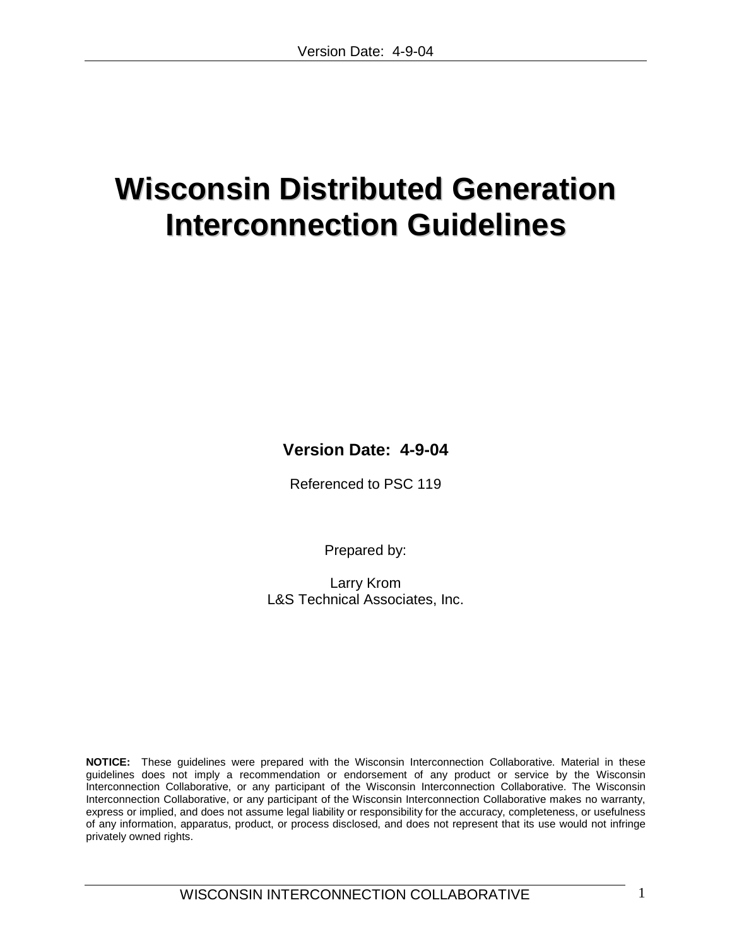# **Wisconsin Distributed Generation Interconnection Guidelines**

**Version Date: 4-9-04**

Referenced to PSC 119

Prepared by:

Larry Krom L&S Technical Associates, Inc.

**NOTICE:** These guidelines were prepared with the Wisconsin Interconnection Collaborative. Material in these guidelines does not imply a recommendation or endorsement of any product or service by the Wisconsin Interconnection Collaborative, or any participant of the Wisconsin Interconnection Collaborative. The Wisconsin Interconnection Collaborative, or any participant of the Wisconsin Interconnection Collaborative makes no warranty, express or implied, and does not assume legal liability or responsibility for the accuracy, completeness, or usefulness of any information, apparatus, product, or process disclosed, and does not represent that its use would not infringe privately owned rights.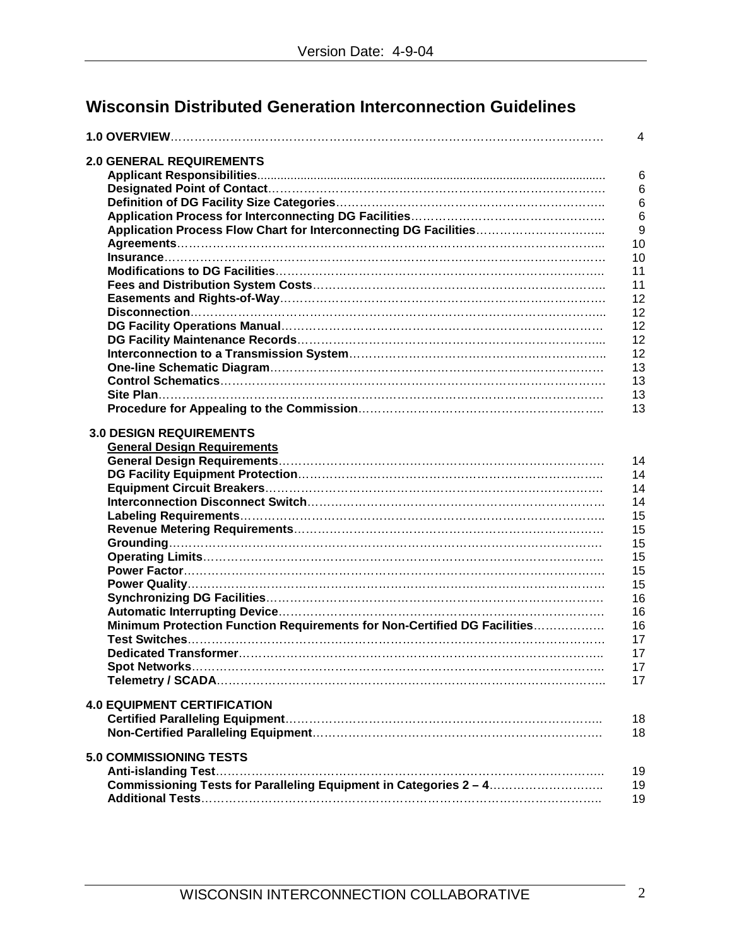# **Wisconsin Distributed Generation Interconnection Guidelines**

|                                                                          | 4  |
|--------------------------------------------------------------------------|----|
| <b>2.0 GENERAL REQUIREMENTS</b>                                          |    |
|                                                                          | 6  |
|                                                                          | 6  |
|                                                                          | 6  |
|                                                                          | 6  |
|                                                                          | 9  |
|                                                                          |    |
|                                                                          | 10 |
|                                                                          | 10 |
|                                                                          | 11 |
|                                                                          | 11 |
|                                                                          | 12 |
|                                                                          | 12 |
|                                                                          | 12 |
|                                                                          | 12 |
|                                                                          | 12 |
|                                                                          | 13 |
|                                                                          | 13 |
|                                                                          | 13 |
|                                                                          | 13 |
| <b>3.0 DESIGN REQUIREMENTS</b>                                           |    |
| <b>General Design Requirements</b>                                       |    |
|                                                                          | 14 |
|                                                                          | 14 |
|                                                                          | 14 |
|                                                                          | 14 |
|                                                                          | 15 |
|                                                                          | 15 |
|                                                                          | 15 |
|                                                                          | 15 |
|                                                                          |    |
|                                                                          | 15 |
|                                                                          | 15 |
|                                                                          | 16 |
|                                                                          | 16 |
| Minimum Protection Function Requirements for Non-Certified DG Facilities | 16 |
|                                                                          | 17 |
|                                                                          | 17 |
|                                                                          | 17 |
|                                                                          | 17 |
| <b>4.0 EQUIPMENT CERTIFICATION</b>                                       |    |
|                                                                          | 18 |
|                                                                          | 18 |
| <b>5.0 COMMISSIONING TESTS</b>                                           |    |
| <b>Anti-islanding Test</b>                                               | 19 |
|                                                                          | 19 |
|                                                                          | 19 |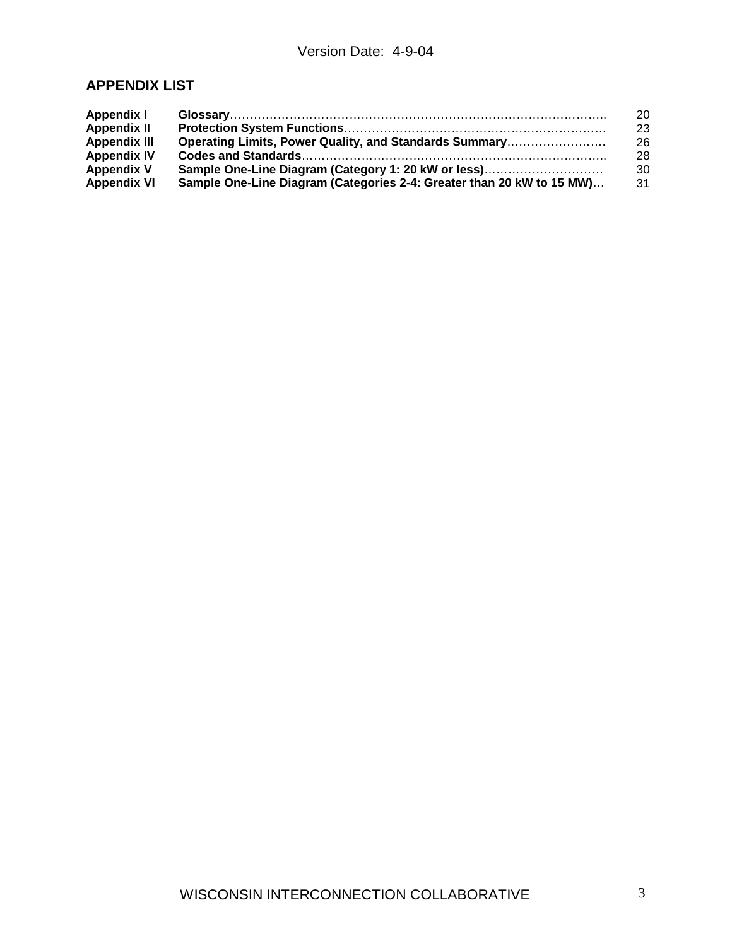## **APPENDIX LIST**

| <b>Appendix I</b>   |                                                                       | 20 |
|---------------------|-----------------------------------------------------------------------|----|
| <b>Appendix II</b>  |                                                                       | 23 |
| <b>Appendix III</b> | Operating Limits, Power Quality, and Standards Summary                | 26 |
| <b>Appendix IV</b>  |                                                                       | 28 |
| <b>Appendix V</b>   | Sample One-Line Diagram (Category 1: 20 kW or less)                   | 30 |
| <b>Appendix VI</b>  | Sample One-Line Diagram (Categories 2-4: Greater than 20 kW to 15 MW) | 31 |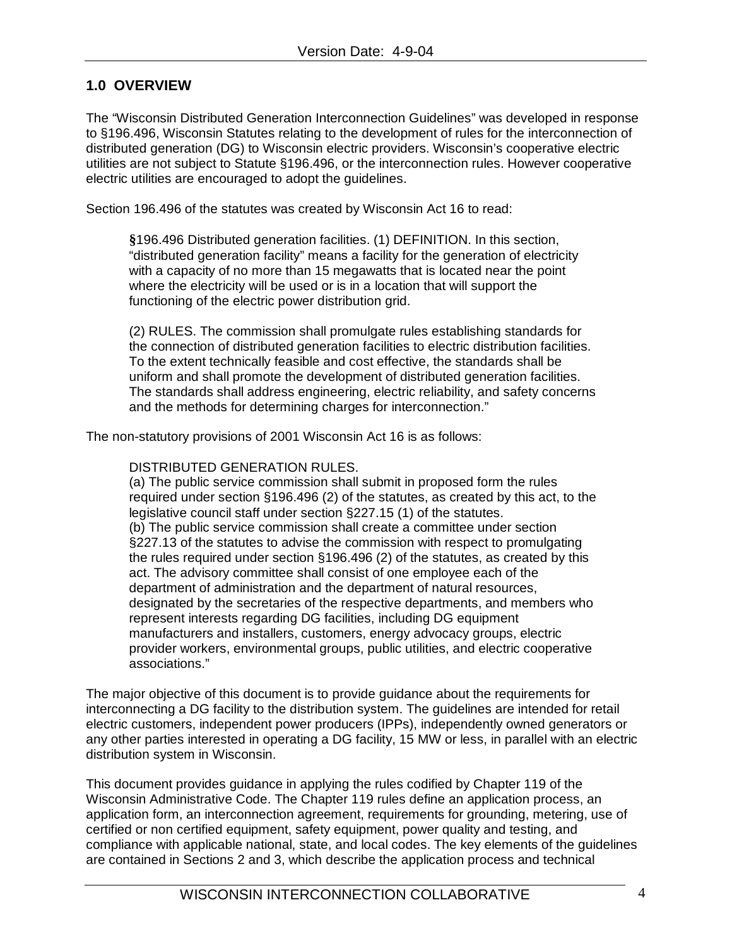## **1.0 OVERVIEW**

The "Wisconsin Distributed Generation Interconnection Guidelines" was developed in response to §196.496, Wisconsin Statutes relating to the development of rules for the interconnection of distributed generation (DG) to Wisconsin electric providers. Wisconsin's cooperative electric utilities are not subject to Statute §196.496, or the interconnection rules. However cooperative electric utilities are encouraged to adopt the guidelines.

Section 196.496 of the statutes was created by Wisconsin Act 16 to read:

**§**196.496 Distributed generation facilities. (1) DEFINITION. In this section, "distributed generation facility" means a facility for the generation of electricity with a capacity of no more than 15 megawatts that is located near the point where the electricity will be used or is in a location that will support the functioning of the electric power distribution grid.

(2) RULES. The commission shall promulgate rules establishing standards for the connection of distributed generation facilities to electric distribution facilities. To the extent technically feasible and cost effective, the standards shall be uniform and shall promote the development of distributed generation facilities. The standards shall address engineering, electric reliability, and safety concerns and the methods for determining charges for interconnection."

The non-statutory provisions of 2001 Wisconsin Act 16 is as follows:

#### DISTRIBUTED GENERATION RULES.

(a) The public service commission shall submit in proposed form the rules required under section §196.496 (2) of the statutes, as created by this act, to the legislative council staff under section §227.15 (1) of the statutes. (b) The public service commission shall create a committee under section §227.13 of the statutes to advise the commission with respect to promulgating the rules required under section §196.496 (2) of the statutes, as created by this act. The advisory committee shall consist of one employee each of the department of administration and the department of natural resources, designated by the secretaries of the respective departments, and members who represent interests regarding DG facilities, including DG equipment manufacturers and installers, customers, energy advocacy groups, electric provider workers, environmental groups, public utilities, and electric cooperative associations."

The major objective of this document is to provide guidance about the requirements for interconnecting a DG facility to the distribution system. The guidelines are intended for retail electric customers, independent power producers (IPPs), independently owned generators or any other parties interested in operating a DG facility, 15 MW or less, in parallel with an electric distribution system in Wisconsin.

This document provides guidance in applying the rules codified by Chapter 119 of the Wisconsin Administrative Code. The Chapter 119 rules define an application process, an application form, an interconnection agreement, requirements for grounding, metering, use of certified or non certified equipment, safety equipment, power quality and testing, and compliance with applicable national, state, and local codes. The key elements of the guidelines are contained in Sections 2 and 3, which describe the application process and technical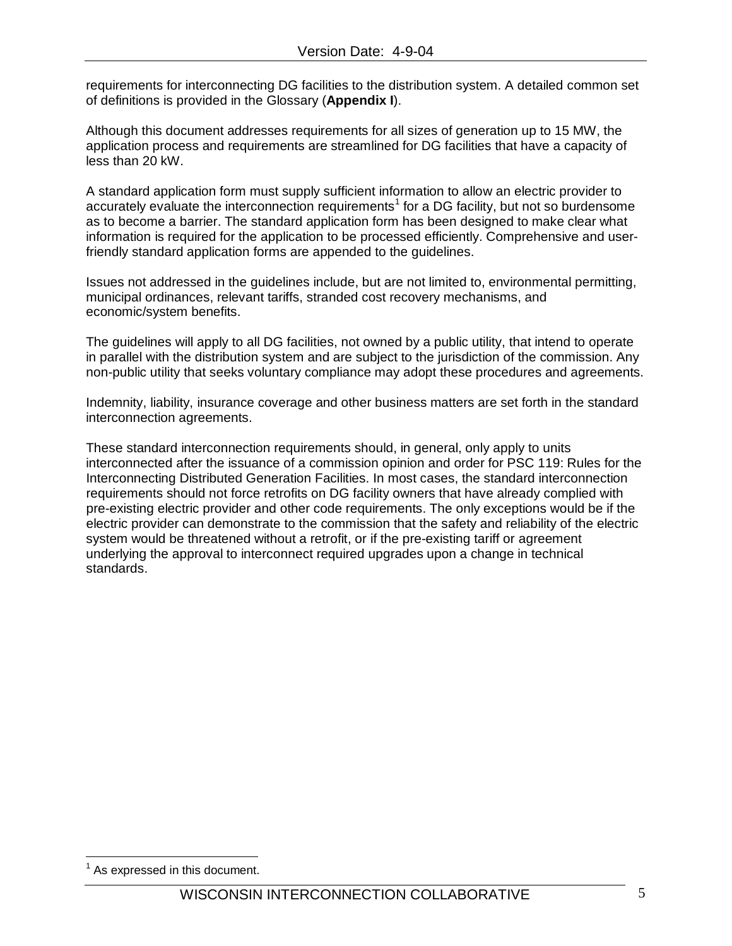requirements for interconnecting DG facilities to the distribution system. A detailed common set of definitions is provided in the Glossary (**Appendix I**).

Although this document addresses requirements for all sizes of generation up to 15 MW, the application process and requirements are streamlined for DG facilities that have a capacity of less than 20 kW.

A standard application form must supply sufficient information to allow an electric provider to accurately evaluate the interconnection requirements<sup>[1](#page-4-0)</sup> for a DG facility, but not so burdensome as to become a barrier. The standard application form has been designed to make clear what information is required for the application to be processed efficiently. Comprehensive and userfriendly standard application forms are appended to the guidelines.

Issues not addressed in the guidelines include, but are not limited to, environmental permitting, municipal ordinances, relevant tariffs, stranded cost recovery mechanisms, and economic/system benefits.

The guidelines will apply to all DG facilities, not owned by a public utility, that intend to operate in parallel with the distribution system and are subject to the jurisdiction of the commission. Any non-public utility that seeks voluntary compliance may adopt these procedures and agreements.

Indemnity, liability, insurance coverage and other business matters are set forth in the standard interconnection agreements.

These standard interconnection requirements should, in general, only apply to units interconnected after the issuance of a commission opinion and order for PSC 119: Rules for the Interconnecting Distributed Generation Facilities. In most cases, the standard interconnection requirements should not force retrofits on DG facility owners that have already complied with pre-existing electric provider and other code requirements. The only exceptions would be if the electric provider can demonstrate to the commission that the safety and reliability of the electric system would be threatened without a retrofit, or if the pre-existing tariff or agreement underlying the approval to interconnect required upgrades upon a change in technical standards.

<span id="page-4-0"></span>As expressed in this document.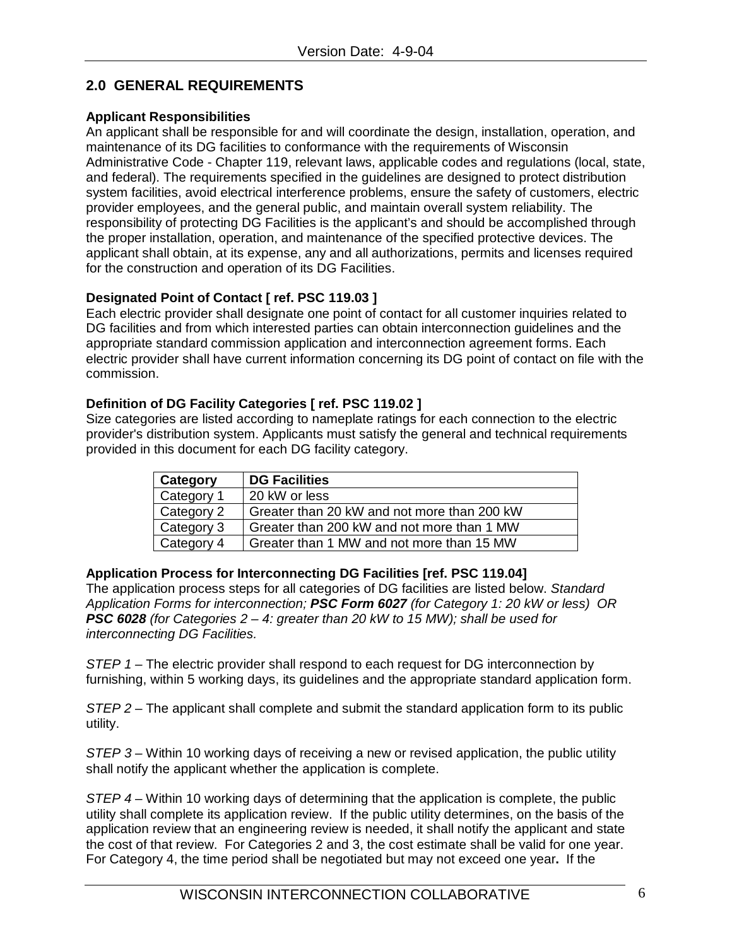## **2.0 GENERAL REQUIREMENTS**

## **Applicant Responsibilities**

An applicant shall be responsible for and will coordinate the design, installation, operation, and maintenance of its DG facilities to conformance with the requirements of Wisconsin Administrative Code - Chapter 119, relevant laws, applicable codes and regulations (local, state, and federal). The requirements specified in the guidelines are designed to protect distribution system facilities, avoid electrical interference problems, ensure the safety of customers, electric provider employees, and the general public, and maintain overall system reliability. The responsibility of protecting DG Facilities is the applicant's and should be accomplished through the proper installation, operation, and maintenance of the specified protective devices. The applicant shall obtain, at its expense, any and all authorizations, permits and licenses required for the construction and operation of its DG Facilities.

## **Designated Point of Contact [ ref. PSC 119.03 ]**

Each electric provider shall designate one point of contact for all customer inquiries related to DG facilities and from which interested parties can obtain interconnection guidelines and the appropriate standard commission application and interconnection agreement forms. Each electric provider shall have current information concerning its DG point of contact on file with the commission.

## **Definition of DG Facility Categories [ ref. PSC 119.02 ]**

Size categories are listed according to nameplate ratings for each connection to the electric provider's distribution system. Applicants must satisfy the general and technical requirements provided in this document for each DG facility category.

| Category   | <b>DG Facilities</b>                        |
|------------|---------------------------------------------|
| Category 1 | 20 kW or less                               |
| Category 2 | Greater than 20 kW and not more than 200 kW |
| Category 3 | Greater than 200 kW and not more than 1 MW  |
| Category 4 | Greater than 1 MW and not more than 15 MW   |

## **Application Process for Interconnecting DG Facilities [ref. PSC 119.04]**

The application process steps for all categories of DG facilities are listed below. *Standard Application Forms for interconnection; PSC Form 6027 (for Category 1: 20 kW or less) OR PSC 6028 (for Categories 2 – 4: greater than 20 kW to 15 MW); shall be used for interconnecting DG Facilities.*

*STEP 1 –* The electric provider shall respond to each request for DG interconnection by furnishing, within 5 working days, its guidelines and the appropriate standard application form.

*STEP 2* – The applicant shall complete and submit the standard application form to its public utility.

*STEP 3 –* Within 10 working days of receiving a new or revised application, the public utility shall notify the applicant whether the application is complete.

*STEP 4* – Within 10 working days of determining that the application is complete, the public utility shall complete its application review. If the public utility determines, on the basis of the application review that an engineering review is needed, it shall notify the applicant and state the cost of that review. For Categories 2 and 3, the cost estimate shall be valid for one year. For Category 4, the time period shall be negotiated but may not exceed one year**.** If the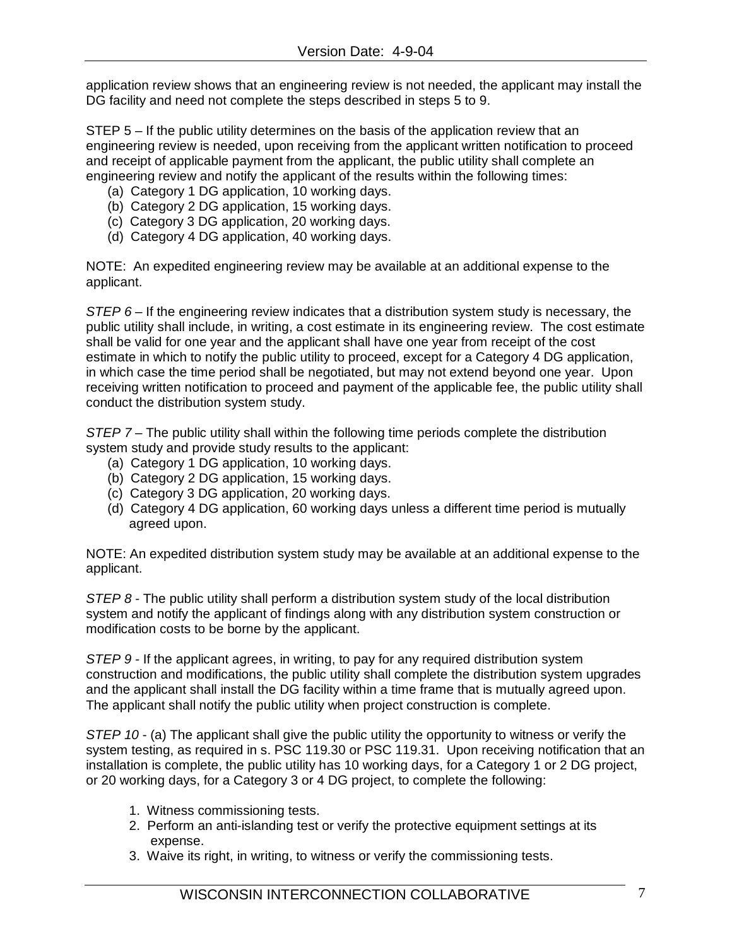application review shows that an engineering review is not needed, the applicant may install the DG facility and need not complete the steps described in steps 5 to 9.

STEP 5 – If the public utility determines on the basis of the application review that an engineering review is needed, upon receiving from the applicant written notification to proceed and receipt of applicable payment from the applicant, the public utility shall complete an engineering review and notify the applicant of the results within the following times:

- (a) Category 1 DG application, 10 working days.
- (b) Category 2 DG application, 15 working days.
- (c) Category 3 DG application, 20 working days.
- (d) Category 4 DG application, 40 working days.

NOTE: An expedited engineering review may be available at an additional expense to the applicant.

*STEP 6* – If the engineering review indicates that a distribution system study is necessary, the public utility shall include, in writing, a cost estimate in its engineering review. The cost estimate shall be valid for one year and the applicant shall have one year from receipt of the cost estimate in which to notify the public utility to proceed, except for a Category 4 DG application, in which case the time period shall be negotiated, but may not extend beyond one year. Upon receiving written notification to proceed and payment of the applicable fee, the public utility shall conduct the distribution system study.

*STEP 7* – The public utility shall within the following time periods complete the distribution system study and provide study results to the applicant:

- (a) Category 1 DG application, 10 working days.
- (b) Category 2 DG application, 15 working days.
- (c) Category 3 DG application, 20 working days.
- (d) Category 4 DG application, 60 working days unless a different time period is mutually agreed upon.

NOTE: An expedited distribution system study may be available at an additional expense to the applicant.

*STEP 8* - The public utility shall perform a distribution system study of the local distribution system and notify the applicant of findings along with any distribution system construction or modification costs to be borne by the applicant.

*STEP 9* - If the applicant agrees, in writing, to pay for any required distribution system construction and modifications, the public utility shall complete the distribution system upgrades and the applicant shall install the DG facility within a time frame that is mutually agreed upon. The applicant shall notify the public utility when project construction is complete.

*STEP 10* - (a) The applicant shall give the public utility the opportunity to witness or verify the system testing, as required in s. PSC 119.30 or PSC 119.31. Upon receiving notification that an installation is complete, the public utility has 10 working days, for a Category 1 or 2 DG project, or 20 working days, for a Category 3 or 4 DG project, to complete the following:

- 1. Witness commissioning tests.
- 2. Perform an anti-islanding test or verify the protective equipment settings at its expense.
- 3. Waive its right, in writing, to witness or verify the commissioning tests.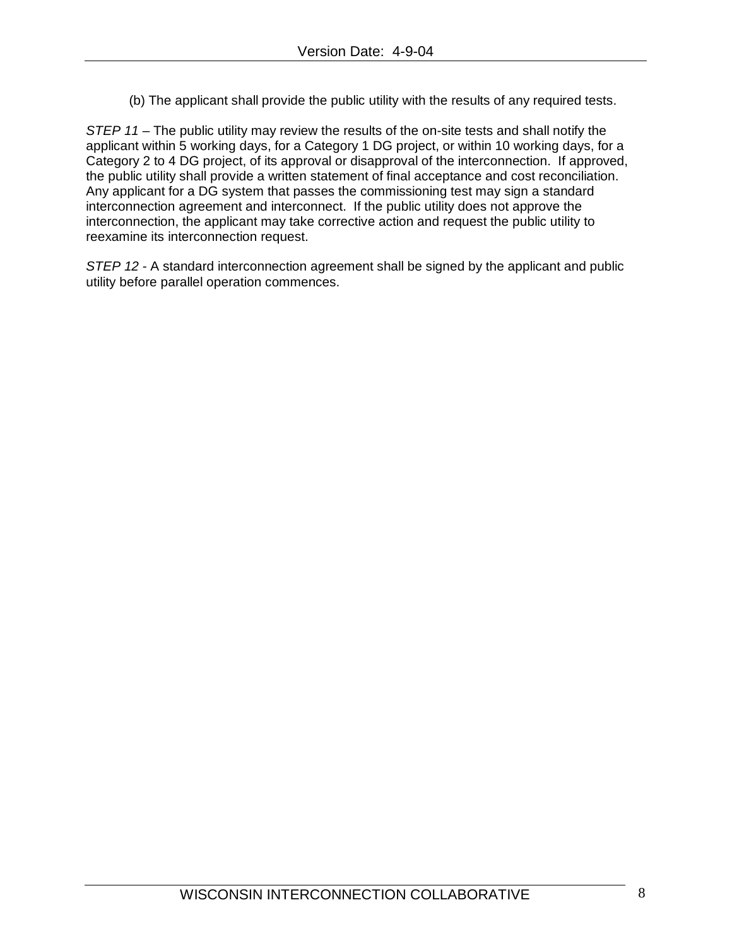(b) The applicant shall provide the public utility with the results of any required tests.

*STEP 11* – The public utility may review the results of the on-site tests and shall notify the applicant within 5 working days, for a Category 1 DG project, or within 10 working days, for a Category 2 to 4 DG project, of its approval or disapproval of the interconnection. If approved, the public utility shall provide a written statement of final acceptance and cost reconciliation. Any applicant for a DG system that passes the commissioning test may sign a standard interconnection agreement and interconnect. If the public utility does not approve the interconnection, the applicant may take corrective action and request the public utility to reexamine its interconnection request.

*STEP 12* - A standard interconnection agreement shall be signed by the applicant and public utility before parallel operation commences.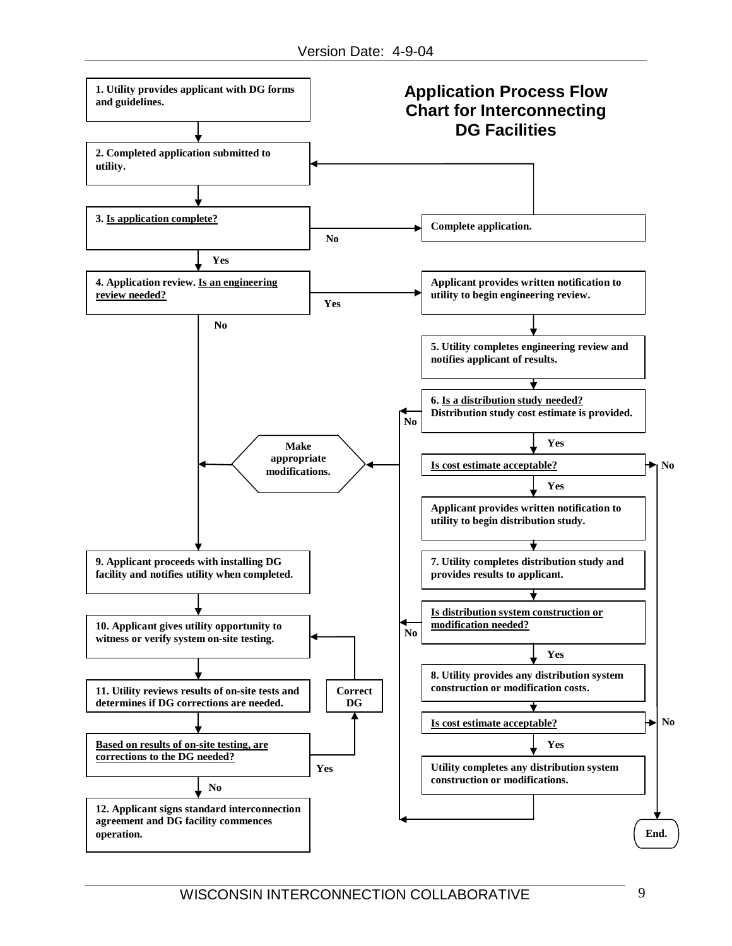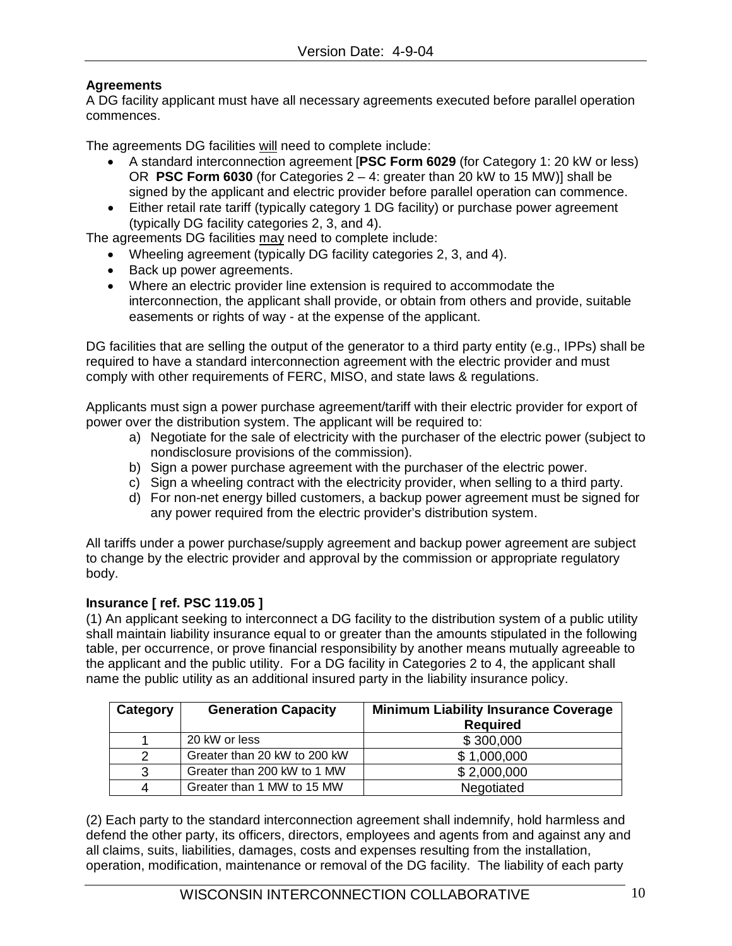## **Agreements**

A DG facility applicant must have all necessary agreements executed before parallel operation commences.

The agreements DG facilities <u>will</u> need to complete include:

- A standard interconnection agreement [**PSC Form 6029** (for Category 1: 20 kW or less) OR **PSC Form 6030** (for Categories 2 – 4: greater than 20 kW to 15 MW)] shall be signed by the applicant and electric provider before parallel operation can commence.
- Either retail rate tariff (typically category 1 DG facility) or purchase power agreement (typically DG facility categories 2, 3, and 4).

The agreements DG facilities <u>may</u> need to complete include:

- Wheeling agreement (typically DG facility categories 2, 3, and 4).
- Back up power agreements.
- Where an electric provider line extension is required to accommodate the interconnection, the applicant shall provide, or obtain from others and provide, suitable easements or rights of way - at the expense of the applicant.

DG facilities that are selling the output of the generator to a third party entity (e.g., IPPs) shall be required to have a standard interconnection agreement with the electric provider and must comply with other requirements of FERC, MISO, and state laws & regulations.

Applicants must sign a power purchase agreement/tariff with their electric provider for export of power over the distribution system. The applicant will be required to:

- a) Negotiate for the sale of electricity with the purchaser of the electric power (subject to nondisclosure provisions of the commission).
- b) Sign a power purchase agreement with the purchaser of the electric power.
- c) Sign a wheeling contract with the electricity provider, when selling to a third party.
- d) For non-net energy billed customers, a backup power agreement must be signed for any power required from the electric provider's distribution system.

All tariffs under a power purchase/supply agreement and backup power agreement are subject to change by the electric provider and approval by the commission or appropriate regulatory body.

## **Insurance [ ref. PSC 119.05 ]**

(1) An applicant seeking to interconnect a DG facility to the distribution system of a public utility shall maintain liability insurance equal to or greater than the amounts stipulated in the following table, per occurrence, or prove financial responsibility by another means mutually agreeable to the applicant and the public utility. For a DG facility in Categories 2 to 4, the applicant shall name the public utility as an additional insured party in the liability insurance policy.

| Category | <b>Generation Capacity</b>   | <b>Minimum Liability Insurance Coverage</b> |  |  |
|----------|------------------------------|---------------------------------------------|--|--|
|          |                              | <b>Required</b>                             |  |  |
|          | 20 kW or less                | \$300,000                                   |  |  |
| 2        | Greater than 20 kW to 200 kW | \$1,000,000                                 |  |  |
| 3        | Greater than 200 kW to 1 MW  | \$2,000,000                                 |  |  |
| 4        | Greater than 1 MW to 15 MW   | Negotiated                                  |  |  |

(2) Each party to the standard interconnection agreement shall indemnify, hold harmless and defend the other party, its officers, directors, employees and agents from and against any and all claims, suits, liabilities, damages, costs and expenses resulting from the installation, operation, modification, maintenance or removal of the DG facility. The liability of each party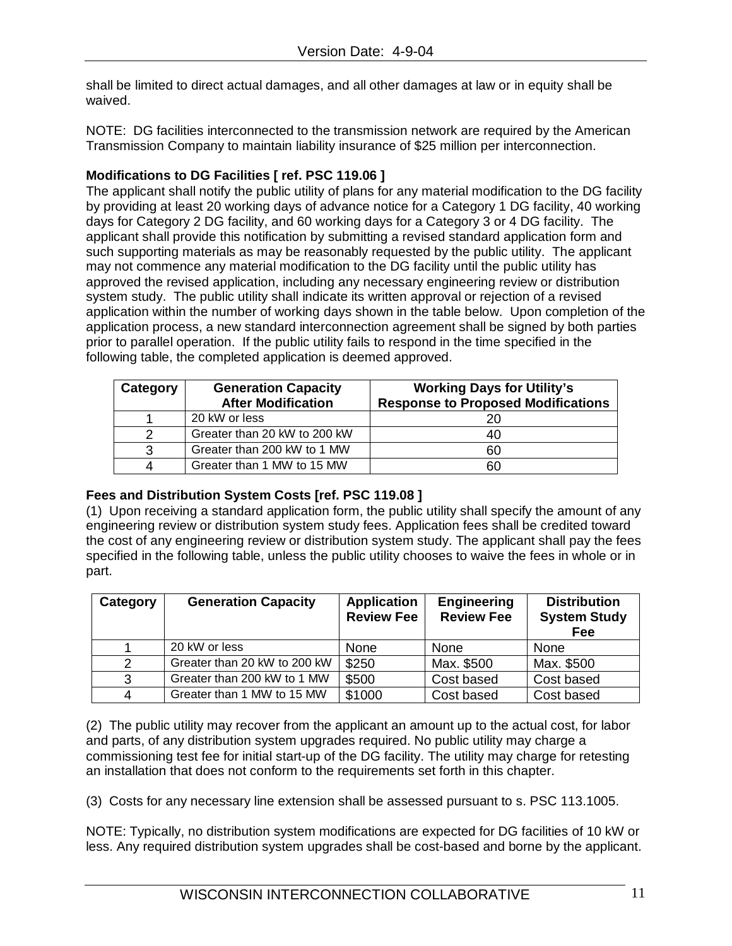shall be limited to direct actual damages, and all other damages at law or in equity shall be waived.

NOTE: DG facilities interconnected to the transmission network are required by the American Transmission Company to maintain liability insurance of \$25 million per interconnection.

## **Modifications to DG Facilities [ ref. PSC 119.06 ]**

The applicant shall notify the public utility of plans for any material modification to the DG facility by providing at least 20 working days of advance notice for a Category 1 DG facility, 40 working days for Category 2 DG facility, and 60 working days for a Category 3 or 4 DG facility. The applicant shall provide this notification by submitting a revised standard application form and such supporting materials as may be reasonably requested by the public utility. The applicant may not commence any material modification to the DG facility until the public utility has approved the revised application, including any necessary engineering review or distribution system study. The public utility shall indicate its written approval or rejection of a revised application within the number of working days shown in the table below. Upon completion of the application process, a new standard interconnection agreement shall be signed by both parties prior to parallel operation. If the public utility fails to respond in the time specified in the following table, the completed application is deemed approved.

| Category | <b>Generation Capacity</b>   | <b>Working Days for Utility's</b>         |  |  |
|----------|------------------------------|-------------------------------------------|--|--|
|          | <b>After Modification</b>    | <b>Response to Proposed Modifications</b> |  |  |
|          | 20 kW or less                | 20                                        |  |  |
|          | Greater than 20 kW to 200 kW | 40                                        |  |  |
| ີ        | Greater than 200 kW to 1 MW  | 60                                        |  |  |
|          | Greater than 1 MW to 15 MW   | 60                                        |  |  |

## **Fees and Distribution System Costs [ref. PSC 119.08 ]**

(1) Upon receiving a standard application form, the public utility shall specify the amount of any engineering review or distribution system study fees. Application fees shall be credited toward the cost of any engineering review or distribution system study. The applicant shall pay the fees specified in the following table, unless the public utility chooses to waive the fees in whole or in part.

| Category       | <b>Generation Capacity</b>   | <b>Application</b><br><b>Review Fee</b> | <b>Engineering</b><br><b>Review Fee</b> | <b>Distribution</b><br><b>System Study</b><br>Fee |
|----------------|------------------------------|-----------------------------------------|-----------------------------------------|---------------------------------------------------|
|                | 20 kW or less                | None                                    | None                                    | None                                              |
| 2              | Greater than 20 kW to 200 kW | \$250                                   | Max. \$500                              | Max. \$500                                        |
| 3              | Greater than 200 kW to 1 MW  | \$500                                   | Cost based                              | Cost based                                        |
| $\overline{4}$ | Greater than 1 MW to 15 MW   | \$1000                                  | Cost based                              | Cost based                                        |

(2) The public utility may recover from the applicant an amount up to the actual cost, for labor and parts, of any distribution system upgrades required. No public utility may charge a commissioning test fee for initial start-up of the DG facility. The utility may charge for retesting an installation that does not conform to the requirements set forth in this chapter.

(3) Costs for any necessary line extension shall be assessed pursuant to s. PSC 113.1005.

NOTE: Typically, no distribution system modifications are expected for DG facilities of 10 kW or less. Any required distribution system upgrades shall be cost-based and borne by the applicant.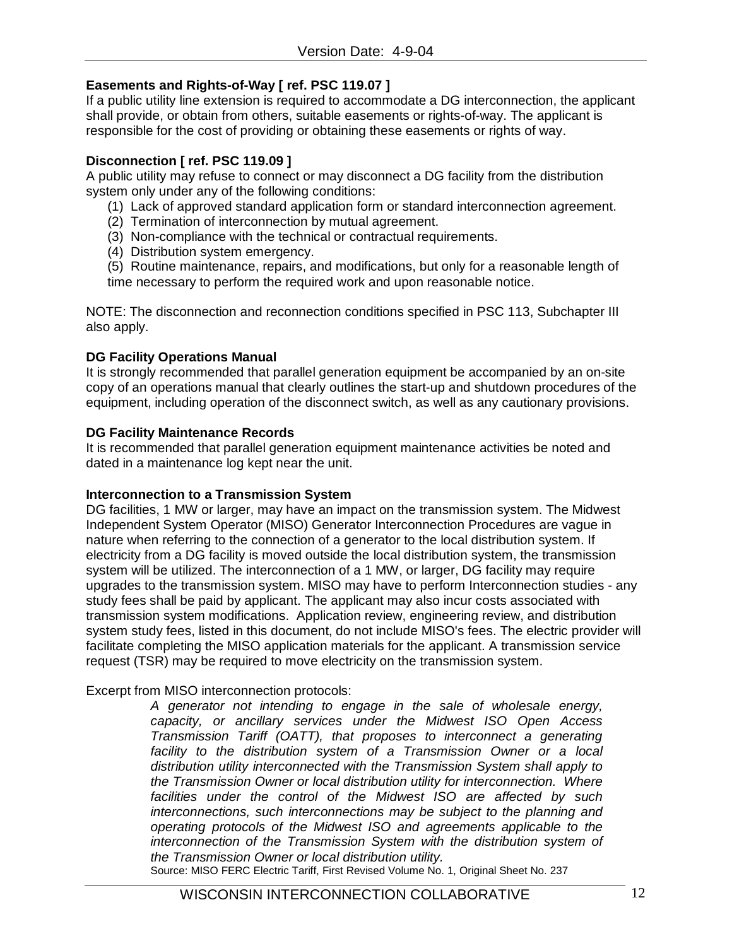## **Easements and Rights-of-Way [ ref. PSC 119.07 ]**

If a public utility line extension is required to accommodate a DG interconnection, the applicant shall provide, or obtain from others, suitable easements or rights-of-way. The applicant is responsible for the cost of providing or obtaining these easements or rights of way.

## **Disconnection [ ref. PSC 119.09 ]**

A public utility may refuse to connect or may disconnect a DG facility from the distribution system only under any of the following conditions:

- (1) Lack of approved standard application form or standard interconnection agreement.
- (2) Termination of interconnection by mutual agreement.
- (3) Non-compliance with the technical or contractual requirements.
- (4) Distribution system emergency.

(5) Routine maintenance, repairs, and modifications, but only for a reasonable length of time necessary to perform the required work and upon reasonable notice.

NOTE: The disconnection and reconnection conditions specified in PSC 113, Subchapter III also apply.

## **DG Facility Operations Manual**

It is strongly recommended that parallel generation equipment be accompanied by an on-site copy of an operations manual that clearly outlines the start-up and shutdown procedures of the equipment, including operation of the disconnect switch, as well as any cautionary provisions.

## **DG Facility Maintenance Records**

It is recommended that parallel generation equipment maintenance activities be noted and dated in a maintenance log kept near the unit.

## **Interconnection to a Transmission System**

DG facilities, 1 MW or larger, may have an impact on the transmission system. The Midwest Independent System Operator (MISO) Generator Interconnection Procedures are vague in nature when referring to the connection of a generator to the local distribution system. If electricity from a DG facility is moved outside the local distribution system, the transmission system will be utilized. The interconnection of a 1 MW, or larger, DG facility may require upgrades to the transmission system. MISO may have to perform Interconnection studies - any study fees shall be paid by applicant. The applicant may also incur costs associated with transmission system modifications. Application review, engineering review, and distribution system study fees, listed in this document, do not include MISO's fees. The electric provider will facilitate completing the MISO application materials for the applicant. A transmission service request (TSR) may be required to move electricity on the transmission system.

## Excerpt from MISO interconnection protocols:

*A generator not intending to engage in the sale of wholesale energy, capacity, or ancillary services under the Midwest ISO Open Access Transmission Tariff (OATT), that proposes to interconnect a generating facility to the distribution system of a Transmission Owner or a local distribution utility interconnected with the Transmission System shall apply to the Transmission Owner or local distribution utility for interconnection. Where facilities under the control of the Midwest ISO are affected by such interconnections, such interconnections may be subject to the planning and operating protocols of the Midwest ISO and agreements applicable to the interconnection of the Transmission System with the distribution system of the Transmission Owner or local distribution utility.*

Source: MISO FERC Electric Tariff, First Revised Volume No. 1, Original Sheet No. 237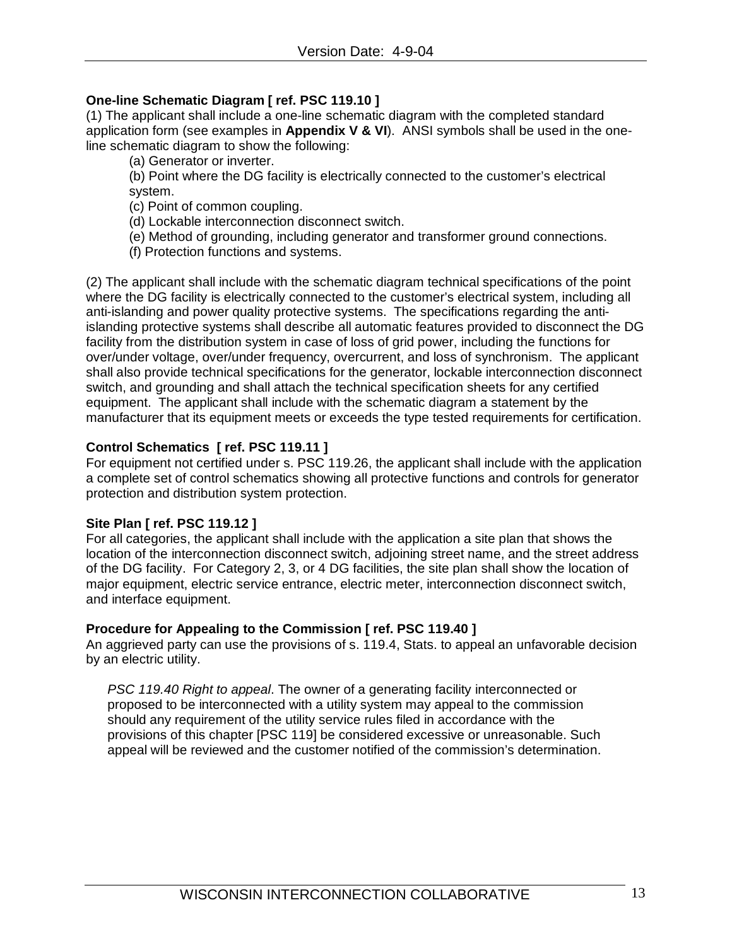## **One-line Schematic Diagram [ ref. PSC 119.10 ]**

(1) The applicant shall include a one-line schematic diagram with the completed standard application form (see examples in **Appendix V & VI**). ANSI symbols shall be used in the oneline schematic diagram to show the following:

(a) Generator or inverter.

(b) Point where the DG facility is electrically connected to the customer's electrical system.

(c) Point of common coupling.

(d) Lockable interconnection disconnect switch.

- (e) Method of grounding, including generator and transformer ground connections.
- (f) Protection functions and systems.

(2) The applicant shall include with the schematic diagram technical specifications of the point where the DG facility is electrically connected to the customer's electrical system, including all anti-islanding and power quality protective systems. The specifications regarding the antiislanding protective systems shall describe all automatic features provided to disconnect the DG facility from the distribution system in case of loss of grid power, including the functions for over/under voltage, over/under frequency, overcurrent, and loss of synchronism. The applicant shall also provide technical specifications for the generator, lockable interconnection disconnect switch, and grounding and shall attach the technical specification sheets for any certified equipment. The applicant shall include with the schematic diagram a statement by the manufacturer that its equipment meets or exceeds the type tested requirements for certification.

## **Control Schematics [ ref. PSC 119.11 ]**

For equipment not certified under s. PSC 119.26, the applicant shall include with the application a complete set of control schematics showing all protective functions and controls for generator protection and distribution system protection.

## **Site Plan [ ref. PSC 119.12 ]**

For all categories, the applicant shall include with the application a site plan that shows the location of the interconnection disconnect switch, adjoining street name, and the street address of the DG facility. For Category 2, 3, or 4 DG facilities, the site plan shall show the location of major equipment, electric service entrance, electric meter, interconnection disconnect switch, and interface equipment.

## **Procedure for Appealing to the Commission [ ref. PSC 119.40 ]**

An aggrieved party can use the provisions of s. 119.4, Stats. to appeal an unfavorable decision by an electric utility.

*PSC 119.40 Right to appeal*. The owner of a generating facility interconnected or proposed to be interconnected with a utility system may appeal to the commission should any requirement of the utility service rules filed in accordance with the provisions of this chapter [PSC 119] be considered excessive or unreasonable. Such appeal will be reviewed and the customer notified of the commission's determination.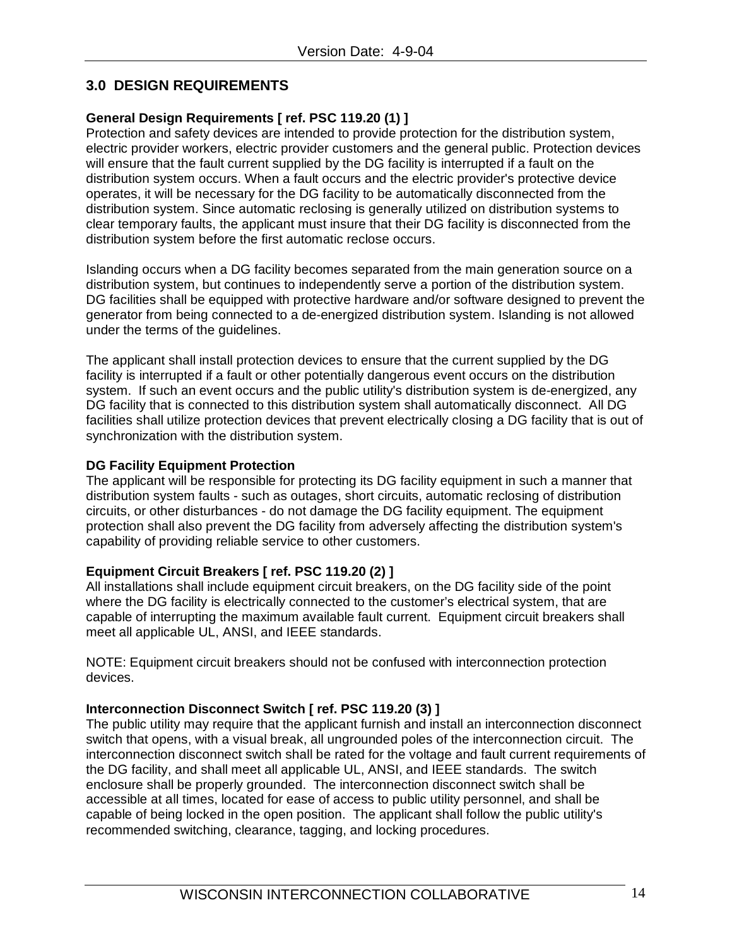## **3.0 DESIGN REQUIREMENTS**

## **General Design Requirements [ ref. PSC 119.20 (1) ]**

Protection and safety devices are intended to provide protection for the distribution system, electric provider workers, electric provider customers and the general public. Protection devices will ensure that the fault current supplied by the DG facility is interrupted if a fault on the distribution system occurs. When a fault occurs and the electric provider's protective device operates, it will be necessary for the DG facility to be automatically disconnected from the distribution system. Since automatic reclosing is generally utilized on distribution systems to clear temporary faults, the applicant must insure that their DG facility is disconnected from the distribution system before the first automatic reclose occurs.

Islanding occurs when a DG facility becomes separated from the main generation source on a distribution system, but continues to independently serve a portion of the distribution system. DG facilities shall be equipped with protective hardware and/or software designed to prevent the generator from being connected to a de-energized distribution system. Islanding is not allowed under the terms of the guidelines.

The applicant shall install protection devices to ensure that the current supplied by the DG facility is interrupted if a fault or other potentially dangerous event occurs on the distribution system. If such an event occurs and the public utility's distribution system is de-energized, any DG facility that is connected to this distribution system shall automatically disconnect. All DG facilities shall utilize protection devices that prevent electrically closing a DG facility that is out of synchronization with the distribution system.

## **DG Facility Equipment Protection**

The applicant will be responsible for protecting its DG facility equipment in such a manner that distribution system faults - such as outages, short circuits, automatic reclosing of distribution circuits, or other disturbances - do not damage the DG facility equipment. The equipment protection shall also prevent the DG facility from adversely affecting the distribution system's capability of providing reliable service to other customers.

## **Equipment Circuit Breakers [ ref. PSC 119.20 (2) ]**

All installations shall include equipment circuit breakers, on the DG facility side of the point where the DG facility is electrically connected to the customer's electrical system, that are capable of interrupting the maximum available fault current. Equipment circuit breakers shall meet all applicable UL, ANSI, and IEEE standards.

NOTE: Equipment circuit breakers should not be confused with interconnection protection devices.

## **Interconnection Disconnect Switch [ ref. PSC 119.20 (3) ]**

The public utility may require that the applicant furnish and install an interconnection disconnect switch that opens, with a visual break, all ungrounded poles of the interconnection circuit. The interconnection disconnect switch shall be rated for the voltage and fault current requirements of the DG facility, and shall meet all applicable UL, ANSI, and IEEE standards. The switch enclosure shall be properly grounded. The interconnection disconnect switch shall be accessible at all times, located for ease of access to public utility personnel, and shall be capable of being locked in the open position. The applicant shall follow the public utility's recommended switching, clearance, tagging, and locking procedures.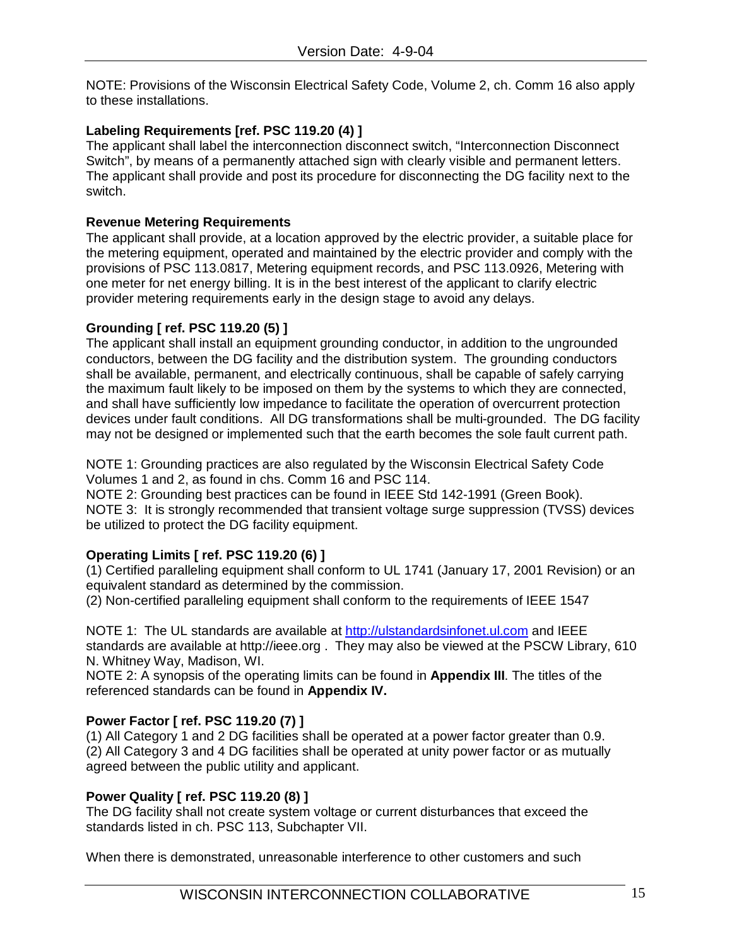NOTE: Provisions of the Wisconsin Electrical Safety Code, Volume 2, ch. Comm 16 also apply to these installations.

## **Labeling Requirements [ref. PSC 119.20 (4) ]**

The applicant shall label the interconnection disconnect switch, "Interconnection Disconnect Switch", by means of a permanently attached sign with clearly visible and permanent letters. The applicant shall provide and post its procedure for disconnecting the DG facility next to the switch.

## **Revenue Metering Requirements**

The applicant shall provide, at a location approved by the electric provider, a suitable place for the metering equipment, operated and maintained by the electric provider and comply with the provisions of PSC 113.0817, Metering equipment records, and PSC 113.0926, Metering with one meter for net energy billing. It is in the best interest of the applicant to clarify electric provider metering requirements early in the design stage to avoid any delays.

## **Grounding [ ref. PSC 119.20 (5) ]**

The applicant shall install an equipment grounding conductor, in addition to the ungrounded conductors, between the DG facility and the distribution system. The grounding conductors shall be available, permanent, and electrically continuous, shall be capable of safely carrying the maximum fault likely to be imposed on them by the systems to which they are connected, and shall have sufficiently low impedance to facilitate the operation of overcurrent protection devices under fault conditions. All DG transformations shall be multi-grounded. The DG facility may not be designed or implemented such that the earth becomes the sole fault current path.

NOTE 1: Grounding practices are also regulated by the Wisconsin Electrical Safety Code Volumes 1 and 2, as found in chs. Comm 16 and PSC 114.

NOTE 2: Grounding best practices can be found in IEEE Std 142-1991 (Green Book). NOTE 3: It is strongly recommended that transient voltage surge suppression (TVSS) devices be utilized to protect the DG facility equipment.

## **Operating Limits [ ref. PSC 119.20 (6) ]**

(1) Certified paralleling equipment shall conform to UL 1741 (January 17, 2001 Revision) or an equivalent standard as determined by the commission.

(2) Non-certified paralleling equipment shall conform to the requirements of IEEE 1547

NOTE 1: The UL standards are available at [http://ulstandardsinfonet.ul.com](http://ulstandardsinfonet.ul.com/) and IEEE standards are available at http://ieee.org . They may also be viewed at the PSCW Library, 610 N. Whitney Way, Madison, WI.

NOTE 2: A synopsis of the operating limits can be found in **Appendix III**. The titles of the referenced standards can be found in **Appendix IV.**

## **Power Factor [ ref. PSC 119.20 (7) ]**

(1) All Category 1 and 2 DG facilities shall be operated at a power factor greater than 0.9. (2) All Category 3 and 4 DG facilities shall be operated at unity power factor or as mutually agreed between the public utility and applicant.

## **Power Quality [ ref. PSC 119.20 (8) ]**

The DG facility shall not create system voltage or current disturbances that exceed the standards listed in ch. PSC 113, Subchapter VII.

When there is demonstrated, unreasonable interference to other customers and such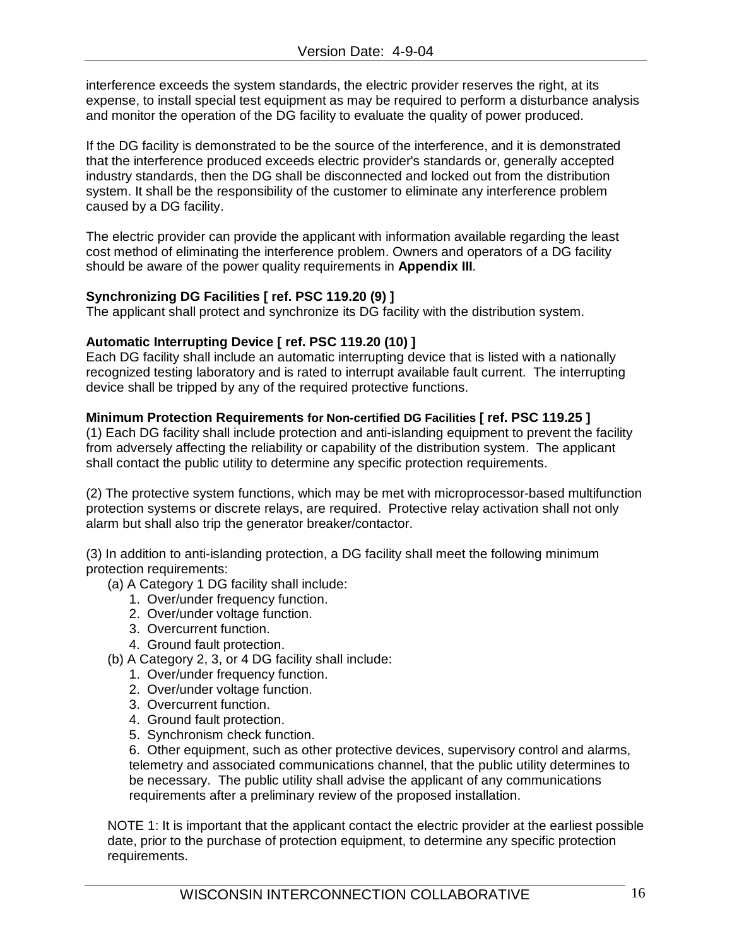interference exceeds the system standards, the electric provider reserves the right, at its expense, to install special test equipment as may be required to perform a disturbance analysis and monitor the operation of the DG facility to evaluate the quality of power produced.

If the DG facility is demonstrated to be the source of the interference, and it is demonstrated that the interference produced exceeds electric provider's standards or, generally accepted industry standards, then the DG shall be disconnected and locked out from the distribution system. It shall be the responsibility of the customer to eliminate any interference problem caused by a DG facility.

The electric provider can provide the applicant with information available regarding the least cost method of eliminating the interference problem. Owners and operators of a DG facility should be aware of the power quality requirements in **Appendix III**.

## **Synchronizing DG Facilities [ ref. PSC 119.20 (9) ]**

The applicant shall protect and synchronize its DG facility with the distribution system.

## **Automatic Interrupting Device [ ref. PSC 119.20 (10) ]**

Each DG facility shall include an automatic interrupting device that is listed with a nationally recognized testing laboratory and is rated to interrupt available fault current. The interrupting device shall be tripped by any of the required protective functions.

## **Minimum Protection Requirements for Non-certified DG Facilities [ ref. PSC 119.25 ]**

(1) Each DG facility shall include protection and anti-islanding equipment to prevent the facility from adversely affecting the reliability or capability of the distribution system. The applicant shall contact the public utility to determine any specific protection requirements.

(2) The protective system functions, which may be met with microprocessor-based multifunction protection systems or discrete relays, are required. Protective relay activation shall not only alarm but shall also trip the generator breaker/contactor.

(3) In addition to anti-islanding protection, a DG facility shall meet the following minimum protection requirements:

- (a) A Category 1 DG facility shall include:
	- 1. Over/under frequency function.
	- 2. Over/under voltage function.
	- 3. Overcurrent function.
	- 4. Ground fault protection.
- (b) A Category 2, 3, or 4 DG facility shall include:
	- 1. Over/under frequency function.
	- 2. Over/under voltage function.
	- 3. Overcurrent function.
	- 4. Ground fault protection.
	- 5. Synchronism check function.

6. Other equipment, such as other protective devices, supervisory control and alarms, telemetry and associated communications channel, that the public utility determines to be necessary. The public utility shall advise the applicant of any communications requirements after a preliminary review of the proposed installation.

NOTE 1: It is important that the applicant contact the electric provider at the earliest possible date, prior to the purchase of protection equipment, to determine any specific protection requirements.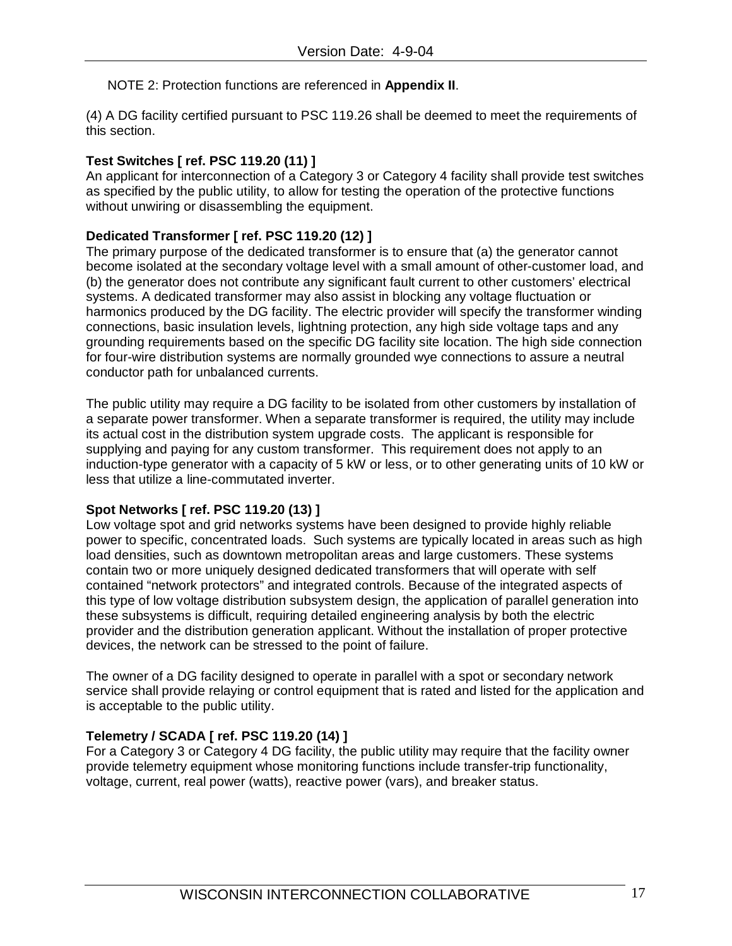## NOTE 2: Protection functions are referenced in **Appendix II**.

(4) A DG facility certified pursuant to PSC 119.26 shall be deemed to meet the requirements of this section.

## **Test Switches [ ref. PSC 119.20 (11) ]**

An applicant for interconnection of a Category 3 or Category 4 facility shall provide test switches as specified by the public utility, to allow for testing the operation of the protective functions without unwiring or disassembling the equipment.

## **Dedicated Transformer [ ref. PSC 119.20 (12) ]**

The primary purpose of the dedicated transformer is to ensure that (a) the generator cannot become isolated at the secondary voltage level with a small amount of other-customer load, and (b) the generator does not contribute any significant fault current to other customers' electrical systems. A dedicated transformer may also assist in blocking any voltage fluctuation or harmonics produced by the DG facility. The electric provider will specify the transformer winding connections, basic insulation levels, lightning protection, any high side voltage taps and any grounding requirements based on the specific DG facility site location. The high side connection for four-wire distribution systems are normally grounded wye connections to assure a neutral conductor path for unbalanced currents.

The public utility may require a DG facility to be isolated from other customers by installation of a separate power transformer. When a separate transformer is required, the utility may include its actual cost in the distribution system upgrade costs. The applicant is responsible for supplying and paying for any custom transformer. This requirement does not apply to an induction-type generator with a capacity of 5 kW or less, or to other generating units of 10 kW or less that utilize a line-commutated inverter.

## **Spot Networks [ ref. PSC 119.20 (13) ]**

Low voltage spot and grid networks systems have been designed to provide highly reliable power to specific, concentrated loads. Such systems are typically located in areas such as high load densities, such as downtown metropolitan areas and large customers. These systems contain two or more uniquely designed dedicated transformers that will operate with self contained "network protectors" and integrated controls. Because of the integrated aspects of this type of low voltage distribution subsystem design, the application of parallel generation into these subsystems is difficult, requiring detailed engineering analysis by both the electric provider and the distribution generation applicant. Without the installation of proper protective devices, the network can be stressed to the point of failure.

The owner of a DG facility designed to operate in parallel with a spot or secondary network service shall provide relaying or control equipment that is rated and listed for the application and is acceptable to the public utility.

## **Telemetry / SCADA [ ref. PSC 119.20 (14) ]**

For a Category 3 or Category 4 DG facility, the public utility may require that the facility owner provide telemetry equipment whose monitoring functions include transfer-trip functionality, voltage, current, real power (watts), reactive power (vars), and breaker status.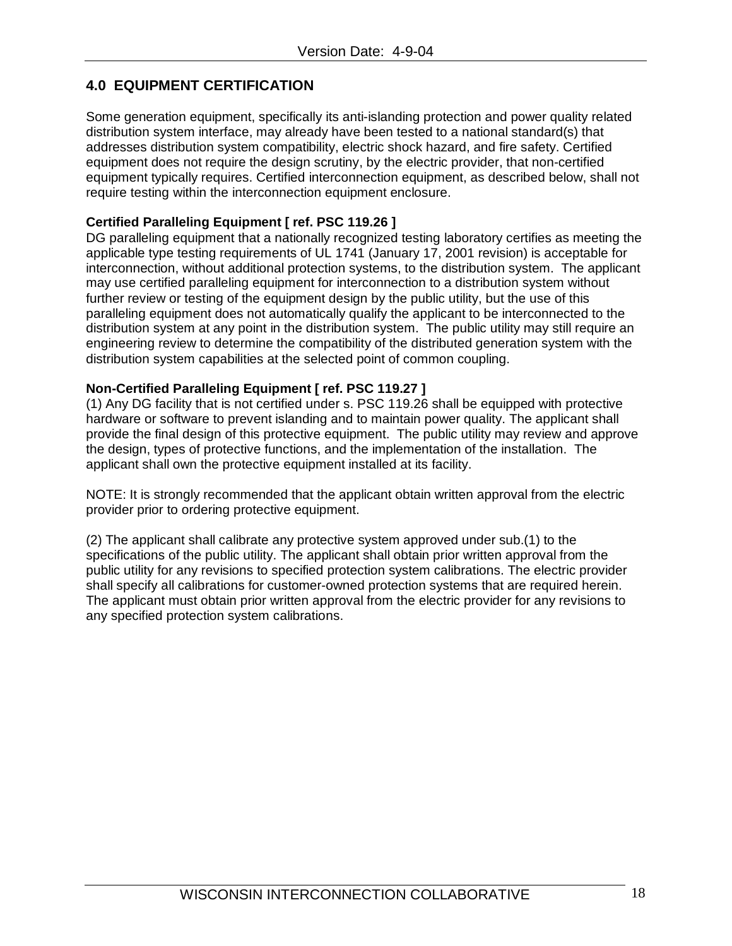## **4.0 EQUIPMENT CERTIFICATION**

Some generation equipment, specifically its anti-islanding protection and power quality related distribution system interface, may already have been tested to a national standard(s) that addresses distribution system compatibility, electric shock hazard, and fire safety. Certified equipment does not require the design scrutiny, by the electric provider, that non-certified equipment typically requires. Certified interconnection equipment, as described below, shall not require testing within the interconnection equipment enclosure.

## **Certified Paralleling Equipment [ ref. PSC 119.26 ]**

DG paralleling equipment that a nationally recognized testing laboratory certifies as meeting the applicable type testing requirements of UL 1741 (January 17, 2001 revision) is acceptable for interconnection, without additional protection systems, to the distribution system. The applicant may use certified paralleling equipment for interconnection to a distribution system without further review or testing of the equipment design by the public utility, but the use of this paralleling equipment does not automatically qualify the applicant to be interconnected to the distribution system at any point in the distribution system. The public utility may still require an engineering review to determine the compatibility of the distributed generation system with the distribution system capabilities at the selected point of common coupling.

## **Non-Certified Paralleling Equipment [ ref. PSC 119.27 ]**

(1) Any DG facility that is not certified under s. PSC 119.26 shall be equipped with protective hardware or software to prevent islanding and to maintain power quality. The applicant shall provide the final design of this protective equipment. The public utility may review and approve the design, types of protective functions, and the implementation of the installation. The applicant shall own the protective equipment installed at its facility.

NOTE: It is strongly recommended that the applicant obtain written approval from the electric provider prior to ordering protective equipment.

(2) The applicant shall calibrate any protective system approved under sub.(1) to the specifications of the public utility. The applicant shall obtain prior written approval from the public utility for any revisions to specified protection system calibrations. The electric provider shall specify all calibrations for customer-owned protection systems that are required herein. The applicant must obtain prior written approval from the electric provider for any revisions to any specified protection system calibrations.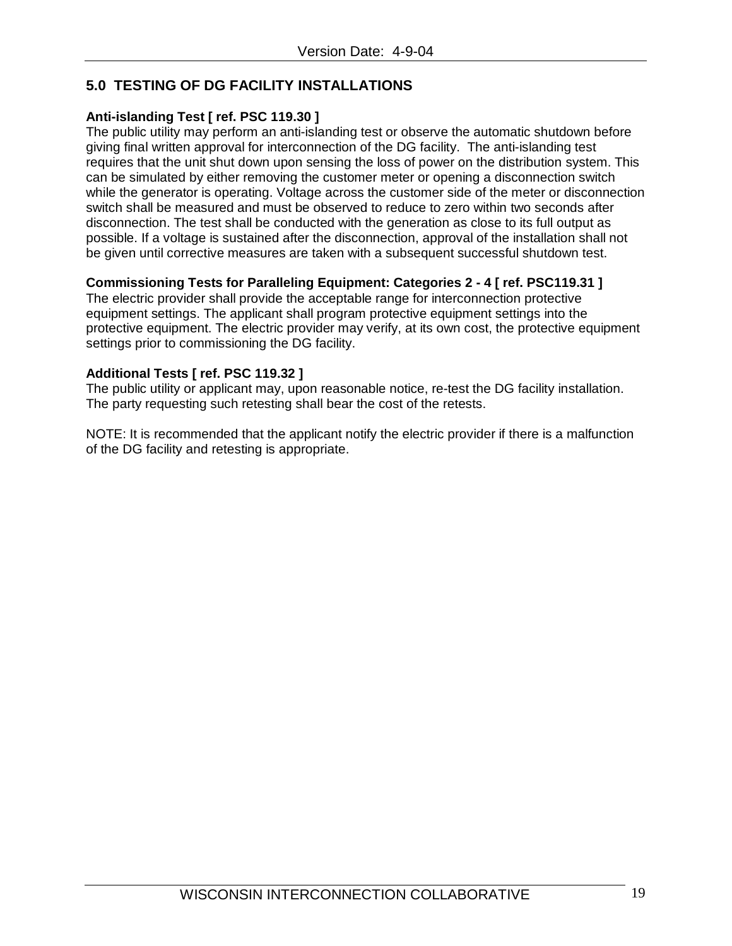## **5.0 TESTING OF DG FACILITY INSTALLATIONS**

## **Anti-islanding Test [ ref. PSC 119.30 ]**

The public utility may perform an anti-islanding test or observe the automatic shutdown before giving final written approval for interconnection of the DG facility. The anti-islanding test requires that the unit shut down upon sensing the loss of power on the distribution system. This can be simulated by either removing the customer meter or opening a disconnection switch while the generator is operating. Voltage across the customer side of the meter or disconnection switch shall be measured and must be observed to reduce to zero within two seconds after disconnection. The test shall be conducted with the generation as close to its full output as possible. If a voltage is sustained after the disconnection, approval of the installation shall not be given until corrective measures are taken with a subsequent successful shutdown test.

## **Commissioning Tests for Paralleling Equipment: Categories 2 - 4 [ ref. PSC119.31 ]**

The electric provider shall provide the acceptable range for interconnection protective equipment settings. The applicant shall program protective equipment settings into the protective equipment. The electric provider may verify, at its own cost, the protective equipment settings prior to commissioning the DG facility.

## **Additional Tests [ ref. PSC 119.32 ]**

The public utility or applicant may, upon reasonable notice, re-test the DG facility installation. The party requesting such retesting shall bear the cost of the retests.

NOTE: It is recommended that the applicant notify the electric provider if there is a malfunction of the DG facility and retesting is appropriate.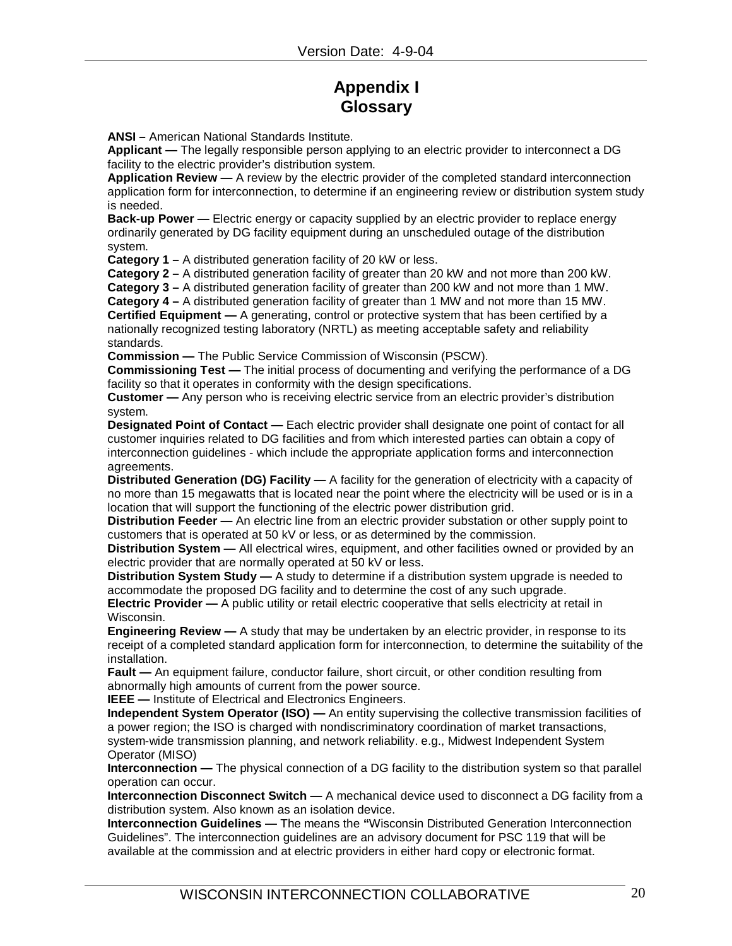# **Appendix I Glossary**

**ANSI –** American National Standards Institute.

**Applicant —** The legally responsible person applying to an electric provider to interconnect a DG facility to the electric provider's distribution system.

**Application Review —** A review by the electric provider of the completed standard interconnection application form for interconnection, to determine if an engineering review or distribution system study is needed.

**Back-up Power —** Electric energy or capacity supplied by an electric provider to replace energy ordinarily generated by DG facility equipment during an unscheduled outage of the distribution system.

**Category 1 –** A distributed generation facility of 20 kW or less.

**Category 2 –** A distributed generation facility of greater than 20 kW and not more than 200 kW.

**Category 3 –** A distributed generation facility of greater than 200 kW and not more than 1 MW.

**Category 4 –** A distributed generation facility of greater than 1 MW and not more than 15 MW.

**Certified Equipment** — A generating, control or protective system that has been certified by a nationally recognized testing laboratory (NRTL) as meeting acceptable safety and reliability standards.

**Commission —** The Public Service Commission of Wisconsin (PSCW).

**Commissioning Test —** The initial process of documenting and verifying the performance of a DG facility so that it operates in conformity with the design specifications.

**Customer —** Any person who is receiving electric service from an electric provider's distribution system.

**Designated Point of Contact —** Each electric provider shall designate one point of contact for all customer inquiries related to DG facilities and from which interested parties can obtain a copy of interconnection guidelines - which include the appropriate application forms and interconnection agreements.

**Distributed Generation (DG) Facility —** A facility for the generation of electricity with a capacity of no more than 15 megawatts that is located near the point where the electricity will be used or is in a location that will support the functioning of the electric power distribution grid.

**Distribution Feeder —** An electric line from an electric provider substation or other supply point to customers that is operated at 50 kV or less, or as determined by the commission.

**Distribution System —** All electrical wires, equipment, and other facilities owned or provided by an electric provider that are normally operated at 50 kV or less.

**Distribution System Study —** A study to determine if a distribution system upgrade is needed to accommodate the proposed DG facility and to determine the cost of any such upgrade.

**Electric Provider —** A public utility or retail electric cooperative that sells electricity at retail in Wisconsin.

**Engineering Review —** A study that may be undertaken by an electric provider, in response to its receipt of a completed standard application form for interconnection, to determine the suitability of the installation.

**Fault —** An equipment failure, conductor failure, short circuit, or other condition resulting from abnormally high amounts of current from the power source.

**IEEE —** Institute of Electrical and Electronics Engineers.

**Independent System Operator (ISO) —** An entity supervising the collective transmission facilities of a power region; the ISO is charged with nondiscriminatory coordination of market transactions, system-wide transmission planning, and network reliability. e.g., Midwest Independent System Operator (MISO)

**Interconnection —** The physical connection of a DG facility to the distribution system so that parallel operation can occur.

**Interconnection Disconnect Switch —** A mechanical device used to disconnect a DG facility from a distribution system. Also known as an isolation device.

**Interconnection Guidelines —** The means the **"**Wisconsin Distributed Generation Interconnection Guidelines". The interconnection guidelines are an advisory document for PSC 119 that will be available at the commission and at electric providers in either hard copy or electronic format.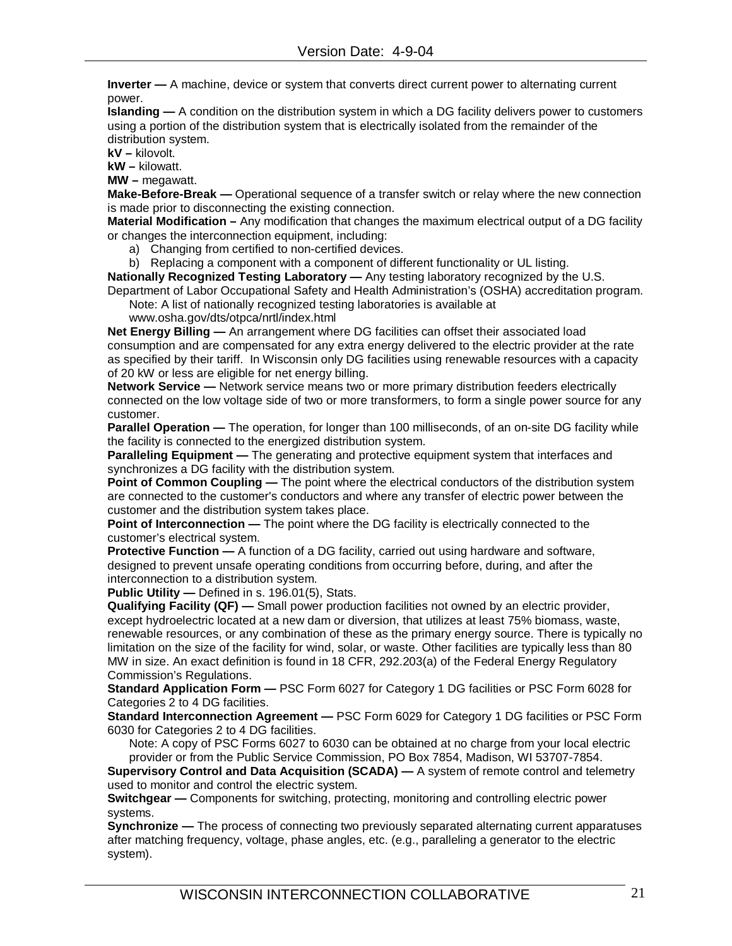**Inverter —** A machine, device or system that converts direct current power to alternating current power.

**Islanding —** A condition on the distribution system in which a DG facility delivers power to customers using a portion of the distribution system that is electrically isolated from the remainder of the distribution system.

**kV –** kilovolt.

**kW –** kilowatt.

**MW –** megawatt.

**Make-Before-Break —** Operational sequence of a transfer switch or relay where the new connection is made prior to disconnecting the existing connection.

**Material Modification –** Any modification that changes the maximum electrical output of a DG facility or changes the interconnection equipment, including:

- a) Changing from certified to non-certified devices.
- b) Replacing a component with a component of different functionality or UL listing.

**Nationally Recognized Testing Laboratory —** Any testing laboratory recognized by the U.S.

Department of Labor Occupational Safety and Health Administration's (OSHA) accreditation program. Note: A list of nationally recognized testing laboratories is available at

www.osha.gov/dts/otpca/nrtl/index.html

**Net Energy Billing —** An arrangement where DG facilities can offset their associated load consumption and are compensated for any extra energy delivered to the electric provider at the rate as specified by their tariff. In Wisconsin only DG facilities using renewable resources with a capacity of 20 kW or less are eligible for net energy billing.

**Network Service —** Network service means two or more primary distribution feeders electrically connected on the low voltage side of two or more transformers, to form a single power source for any customer.

**Parallel Operation —** The operation, for longer than 100 milliseconds, of an on-site DG facility while the facility is connected to the energized distribution system.

**Paralleling Equipment —** The generating and protective equipment system that interfaces and synchronizes a DG facility with the distribution system.

**Point of Common Coupling —** The point where the electrical conductors of the distribution system are connected to the customer's conductors and where any transfer of electric power between the customer and the distribution system takes place.

**Point of Interconnection** — The point where the DG facility is electrically connected to the customer's electrical system.

**Protective Function** — A function of a DG facility, carried out using hardware and software, designed to prevent unsafe operating conditions from occurring before, during, and after the interconnection to a distribution system.

**Public Utility —** Defined in s. 196.01(5), Stats.

**Qualifying Facility (QF) —** Small power production facilities not owned by an electric provider, except hydroelectric located at a new dam or diversion, that utilizes at least 75% biomass, waste, renewable resources, or any combination of these as the primary energy source. There is typically no limitation on the size of the facility for wind, solar, or waste. Other facilities are typically less than 80 MW in size. An exact definition is found in 18 CFR, 292.203(a) of the Federal Energy Regulatory Commission's Regulations.

**Standard Application Form** *—* PSC Form 6027 for Category 1 DG facilities or PSC Form 6028 for Categories 2 to 4 DG facilities.

**Standard Interconnection Agreement —** PSC Form 6029 for Category 1 DG facilities or PSC Form 6030 for Categories 2 to 4 DG facilities.

Note: A copy of PSC Forms 6027 to 6030 can be obtained at no charge from your local electric provider or from the Public Service Commission, PO Box 7854, Madison, WI 53707-7854.

**Supervisory Control and Data Acquisition (SCADA) —** A system of remote control and telemetry used to monitor and control the electric system.

**Switchgear —** Components for switching, protecting, monitoring and controlling electric power systems.

**Synchronize —** The process of connecting two previously separated alternating current apparatuses after matching frequency, voltage, phase angles, etc. (e.g., paralleling a generator to the electric system).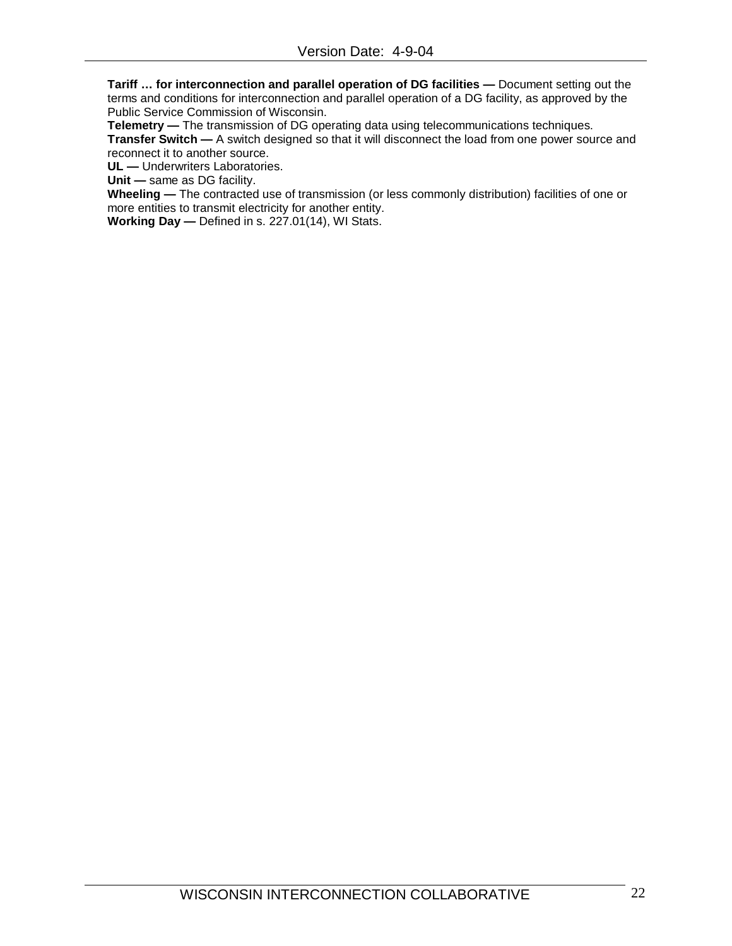**Tariff … for interconnection and parallel operation of DG facilities —** Document setting out the terms and conditions for interconnection and parallel operation of a DG facility, as approved by the Public Service Commission of Wisconsin.

**Telemetry —** The transmission of DG operating data using telecommunications techniques.

**Transfer Switch —** A switch designed so that it will disconnect the load from one power source and reconnect it to another source.

**UL —** Underwriters Laboratories.

**Unit —** same as DG facility.

**Wheeling —** The contracted use of transmission (or less commonly distribution) facilities of one or more entities to transmit electricity for another entity.

**Working Day —** Defined in s. 227.01(14), WI Stats.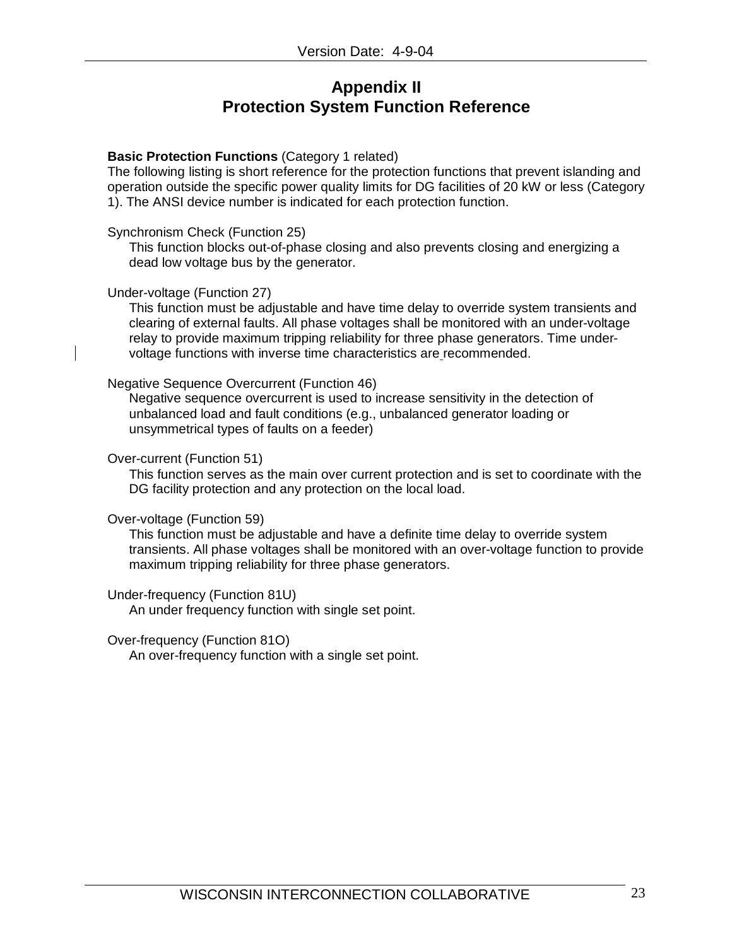## **Appendix II Protection System Function Reference**

#### **Basic Protection Functions** (Category 1 related)

The following listing is short reference for the protection functions that prevent islanding and operation outside the specific power quality limits for DG facilities of 20 kW or less (Category 1). The ANSI device number is indicated for each protection function.

#### Synchronism Check (Function 25)

This function blocks out-of-phase closing and also prevents closing and energizing a dead low voltage bus by the generator.

#### Under-voltage (Function 27)

This function must be adjustable and have time delay to override system transients and clearing of external faults. All phase voltages shall be monitored with an under-voltage relay to provide maximum tripping reliability for three phase generators. Time undervoltage functions with inverse time characteristics are recommended.

#### Negative Sequence Overcurrent (Function 46)

Negative sequence overcurrent is used to increase sensitivity in the detection of unbalanced load and fault conditions (e.g., unbalanced generator loading or unsymmetrical types of faults on a feeder)

#### Over-current (Function 51)

This function serves as the main over current protection and is set to coordinate with the DG facility protection and any protection on the local load.

#### Over-voltage (Function 59)

This function must be adjustable and have a definite time delay to override system transients. All phase voltages shall be monitored with an over-voltage function to provide maximum tripping reliability for three phase generators.

## Under-frequency (Function 81U)

An under frequency function with single set point.

#### Over-frequency (Function 81O)

An over-frequency function with a single set point.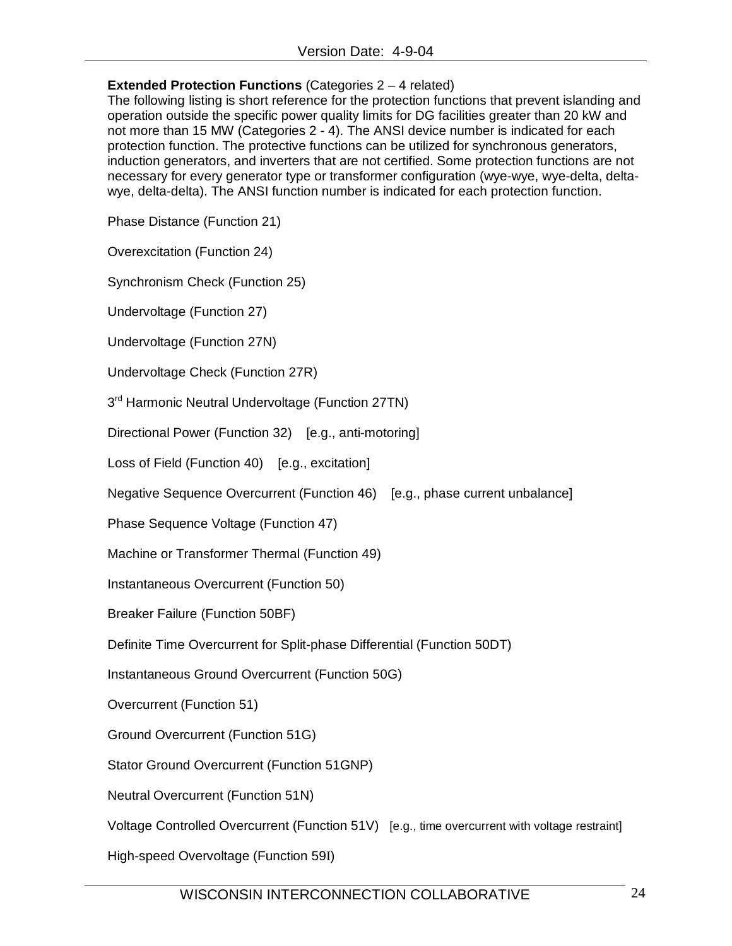## **Extended Protection Functions** (Categories 2 – 4 related)

The following listing is short reference for the protection functions that prevent islanding and operation outside the specific power quality limits for DG facilities greater than 20 kW and not more than 15 MW (Categories 2 - 4). The ANSI device number is indicated for each protection function. The protective functions can be utilized for synchronous generators, induction generators, and inverters that are not certified. Some protection functions are not necessary for every generator type or transformer configuration (wye-wye, wye-delta, deltawye, delta-delta). The ANSI function number is indicated for each protection function.

Phase Distance (Function 21)

Overexcitation (Function 24)

Synchronism Check (Function 25)

Undervoltage (Function 27)

Undervoltage (Function 27N)

Undervoltage Check (Function 27R)

 $3<sup>rd</sup>$  Harmonic Neutral Undervoltage (Function 27TN)

Directional Power (Function 32) [e.g., anti-motoring]

Loss of Field (Function 40) [e.g., excitation]

Negative Sequence Overcurrent (Function 46) [e.g., phase current unbalance]

Phase Sequence Voltage (Function 47)

Machine or Transformer Thermal (Function 49)

Instantaneous Overcurrent (Function 50)

Breaker Failure (Function 50BF)

Definite Time Overcurrent for Split-phase Differential (Function 50DT)

Instantaneous Ground Overcurrent (Function 50G)

Overcurrent (Function 51)

Ground Overcurrent (Function 51G)

Stator Ground Overcurrent (Function 51GNP)

Neutral Overcurrent (Function 51N)

Voltage Controlled Overcurrent (Function 51V) [e.g., time overcurrent with voltage restraint]

High-speed Overvoltage (Function 59I)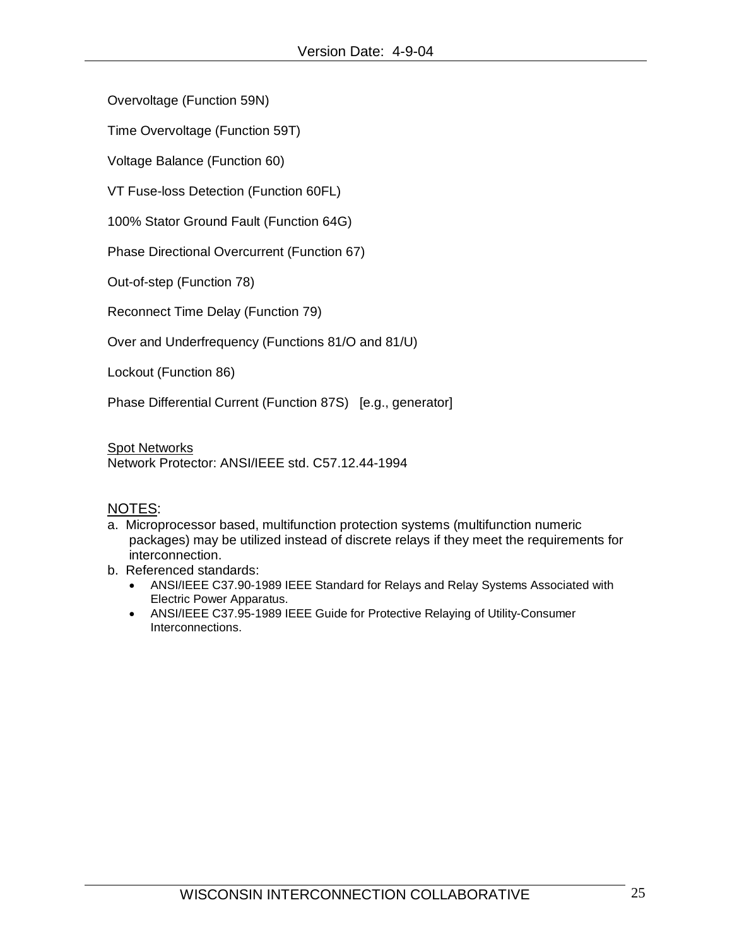Overvoltage (Function 59N)

Time Overvoltage (Function 59T)

Voltage Balance (Function 60)

VT Fuse-loss Detection (Function 60FL)

100% Stator Ground Fault (Function 64G)

Phase Directional Overcurrent (Function 67)

Out-of-step (Function 78)

Reconnect Time Delay (Function 79)

Over and Underfrequency (Functions 81/O and 81/U)

Lockout (Function 86)

Phase Differential Current (Function 87S) [e.g., generator]

**Spot Networks** 

Network Protector: ANSI/IEEE std. C57.12.44-1994

## NOTES:

- a. Microprocessor based, multifunction protection systems (multifunction numeric packages) may be utilized instead of discrete relays if they meet the requirements for interconnection.
- b. Referenced standards:
	- ANSI/IEEE C37.90-1989 IEEE Standard for Relays and Relay Systems Associated with Electric Power Apparatus.
	- ANSI/IEEE C37.95-1989 IEEE Guide for Protective Relaying of Utility-Consumer Interconnections.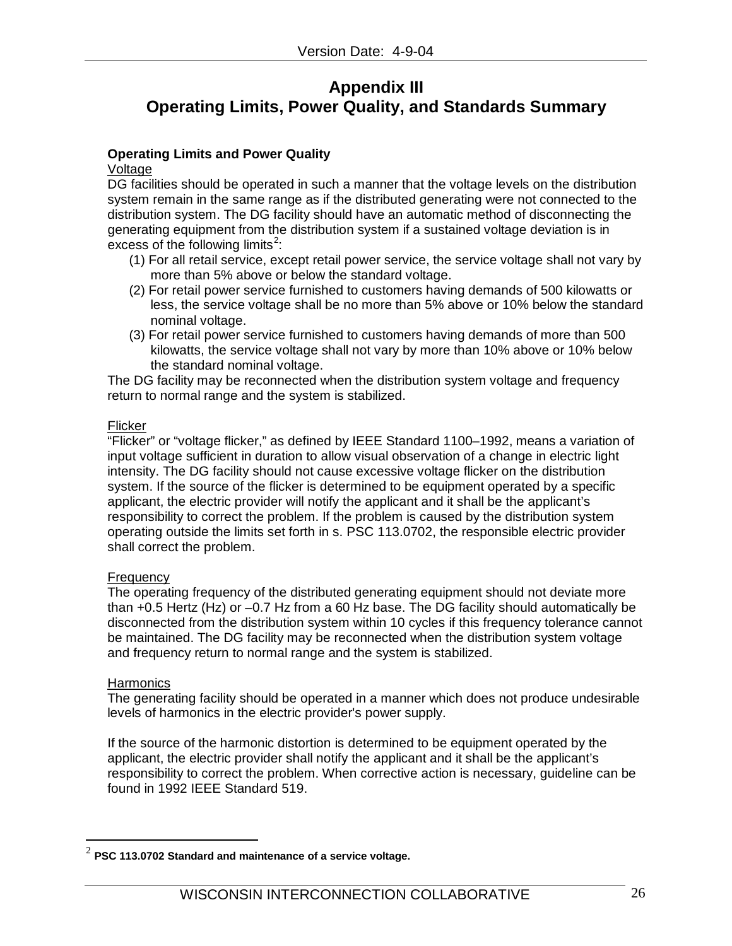## **Appendix III Operating Limits, Power Quality, and Standards Summary**

## **Operating Limits and Power Quality**

#### Voltage

DG facilities should be operated in such a manner that the voltage levels on the distribution system remain in the same range as if the distributed generating were not connected to the distribution system. The DG facility should have an automatic method of disconnecting the generating equipment from the distribution system if a sustained voltage deviation is in excess of the following limits<sup>[2](#page-25-0)</sup>:

- (1) For all retail service, except retail power service, the service voltage shall not vary by more than 5% above or below the standard voltage.
- (2) For retail power service furnished to customers having demands of 500 kilowatts or less, the service voltage shall be no more than 5% above or 10% below the standard nominal voltage.
- (3) For retail power service furnished to customers having demands of more than 500 kilowatts, the service voltage shall not vary by more than 10% above or 10% below the standard nominal voltage.

The DG facility may be reconnected when the distribution system voltage and frequency return to normal range and the system is stabilized.

## Flicker

"Flicker" or "voltage flicker," as defined by IEEE Standard 1100–1992, means a variation of input voltage sufficient in duration to allow visual observation of a change in electric light intensity. The DG facility should not cause excessive voltage flicker on the distribution system. If the source of the flicker is determined to be equipment operated by a specific applicant, the electric provider will notify the applicant and it shall be the applicant's responsibility to correct the problem. If the problem is caused by the distribution system operating outside the limits set forth in s. PSC 113.0702, the responsible electric provider shall correct the problem.

## **Frequency**

The operating frequency of the distributed generating equipment should not deviate more than +0.5 Hertz (Hz) or –0.7 Hz from a 60 Hz base. The DG facility should automatically be disconnected from the distribution system within 10 cycles if this frequency tolerance cannot be maintained. The DG facility may be reconnected when the distribution system voltage and frequency return to normal range and the system is stabilized.

## **Harmonics**

The generating facility should be operated in a manner which does not produce undesirable levels of harmonics in the electric provider's power supply.

If the source of the harmonic distortion is determined to be equipment operated by the applicant, the electric provider shall notify the applicant and it shall be the applicant's responsibility to correct the problem. When corrective action is necessary, guideline can be found in 1992 IEEE Standard 519.

<span id="page-25-0"></span> <sup>2</sup> **PSC 113.0702 Standard and maintenance of a service voltage.**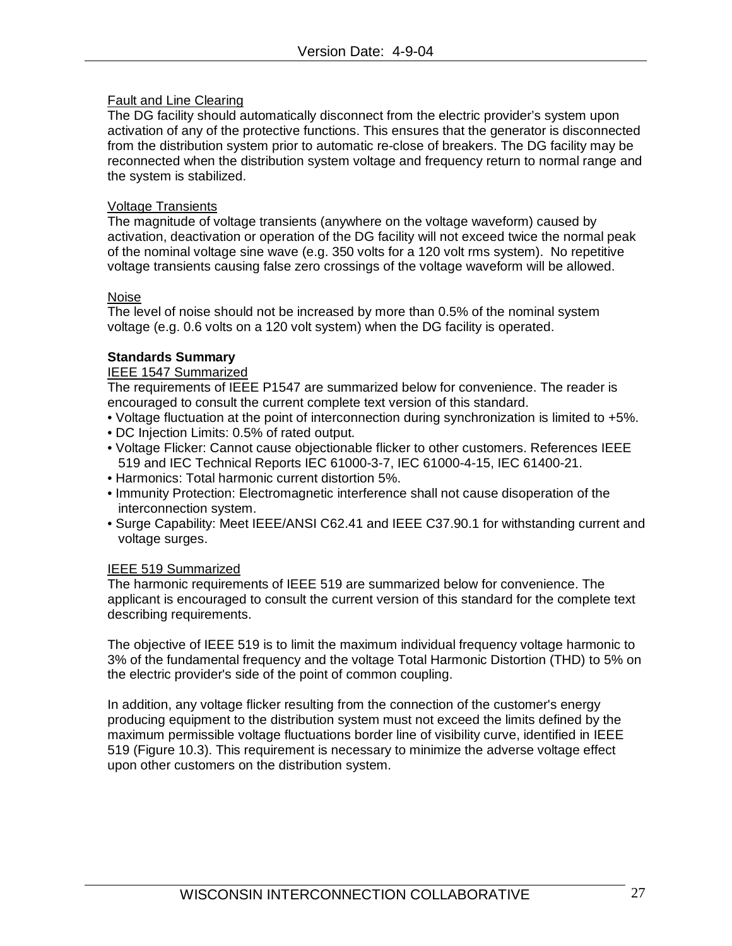## Fault and Line Clearing

The DG facility should automatically disconnect from the electric provider's system upon activation of any of the protective functions. This ensures that the generator is disconnected from the distribution system prior to automatic re-close of breakers. The DG facility may be reconnected when the distribution system voltage and frequency return to normal range and the system is stabilized.

## Voltage Transients

The magnitude of voltage transients (anywhere on the voltage waveform) caused by activation, deactivation or operation of the DG facility will not exceed twice the normal peak of the nominal voltage sine wave (e.g. 350 volts for a 120 volt rms system). No repetitive voltage transients causing false zero crossings of the voltage waveform will be allowed.

## Noise

The level of noise should not be increased by more than 0.5% of the nominal system voltage (e.g. 0.6 volts on a 120 volt system) when the DG facility is operated.

## **Standards Summary**

## IEEE 1547 Summarized

The requirements of IEEE P1547 are summarized below for convenience. The reader is encouraged to consult the current complete text version of this standard.

- Voltage fluctuation at the point of interconnection during synchronization is limited to +5%.
- DC Injection Limits: 0.5% of rated output.
- Voltage Flicker: Cannot cause objectionable flicker to other customers. References IEEE 519 and IEC Technical Reports IEC 61000-3-7, IEC 61000-4-15, IEC 61400-21.
- Harmonics: Total harmonic current distortion 5%.
- Immunity Protection: Electromagnetic interference shall not cause disoperation of the interconnection system.
- Surge Capability: Meet IEEE/ANSI C62.41 and IEEE C37.90.1 for withstanding current and voltage surges.

## IEEE 519 Summarized

The harmonic requirements of IEEE 519 are summarized below for convenience. The applicant is encouraged to consult the current version of this standard for the complete text describing requirements.

The objective of IEEE 519 is to limit the maximum individual frequency voltage harmonic to 3% of the fundamental frequency and the voltage Total Harmonic Distortion (THD) to 5% on the electric provider's side of the point of common coupling.

In addition, any voltage flicker resulting from the connection of the customer's energy producing equipment to the distribution system must not exceed the limits defined by the maximum permissible voltage fluctuations border line of visibility curve, identified in IEEE 519 (Figure 10.3). This requirement is necessary to minimize the adverse voltage effect upon other customers on the distribution system.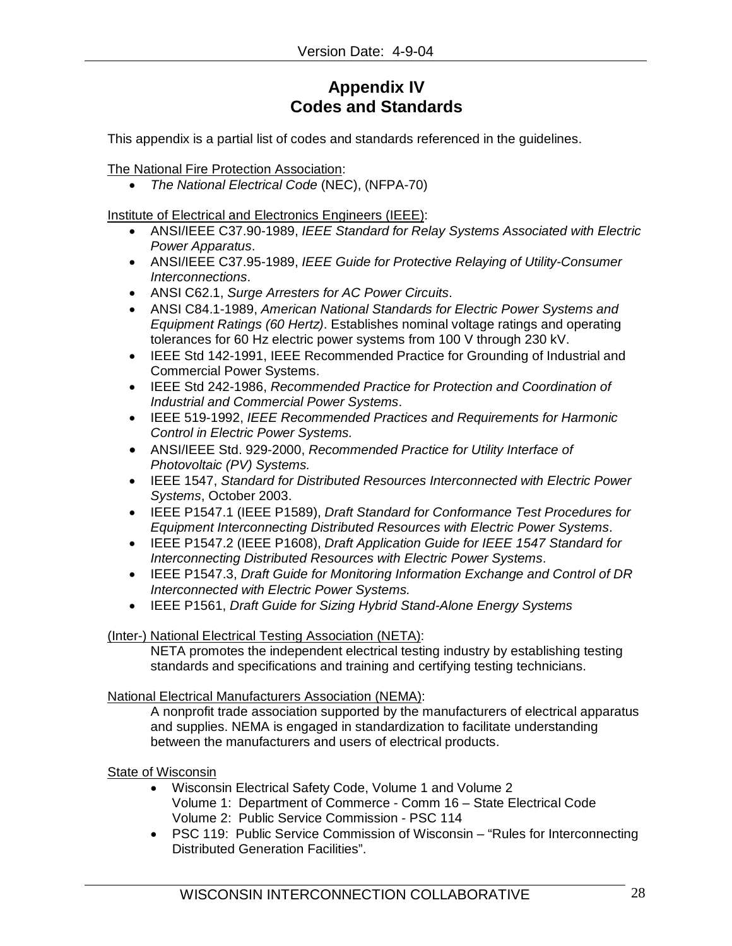# **Appendix IV Codes and Standards**

This appendix is a partial list of codes and standards referenced in the guidelines.

The National Fire Protection Association:

• *The National Electrical Code* (NEC), (NFPA-70)

Institute of Electrical and Electronics Engineers (IEEE):

- ANSI/IEEE C37.90-1989, *IEEE Standard for Relay Systems Associated with Electric Power Apparatus*.
- ANSI/IEEE C37.95-1989, *IEEE Guide for Protective Relaying of Utility-Consumer Interconnections*.
- ANSI C62.1, *Surge Arresters for AC Power Circuits*.
- ANSI C84.1-1989, *American National Standards for Electric Power Systems and Equipment Ratings (60 Hertz)*. Establishes nominal voltage ratings and operating tolerances for 60 Hz electric power systems from 100 V through 230 kV.
- IEEE Std 142-1991, IEEE Recommended Practice for Grounding of Industrial and Commercial Power Systems.
- IEEE Std 242-1986, *Recommended Practice for Protection and Coordination of Industrial and Commercial Power Systems*.
- IEEE 519-1992, *IEEE Recommended Practices and Requirements for Harmonic Control in Electric Power Systems.*
- ANSI/IEEE Std. 929-2000, *Recommended Practice for Utility Interface of Photovoltaic (PV) Systems.*
- IEEE 1547, *Standard for Distributed Resources Interconnected with Electric Power Systems*, October 2003.
- IEEE P1547.1 (IEEE P1589), *Draft Standard for Conformance Test Procedures for Equipment Interconnecting Distributed Resources with Electric Power Systems*.
- IEEE P1547.2 (IEEE P1608), *Draft Application Guide for IEEE 1547 Standard for Interconnecting Distributed Resources with Electric Power Systems*.
- IEEE P1547.3, *Draft Guide for Monitoring Information Exchange and Control of DR Interconnected with Electric Power Systems.*
- IEEE P1561, *Draft Guide for Sizing Hybrid Stand-Alone Energy Systems*

## (Inter-) National Electrical Testing Association (NETA):

NETA promotes the independent electrical testing industry by establishing testing standards and specifications and training and certifying testing technicians.

## National Electrical Manufacturers Association (NEMA):

A nonprofit trade association supported by the manufacturers of electrical apparatus and supplies. NEMA is engaged in standardization to facilitate understanding between the manufacturers and users of electrical products.

## State of Wisconsin

- Wisconsin Electrical Safety Code, Volume 1 and Volume 2 Volume 1: Department of Commerce - Comm 16 – State Electrical Code Volume 2: Public Service Commission - PSC 114
- PSC 119: Public Service Commission of Wisconsin "Rules for Interconnecting Distributed Generation Facilities".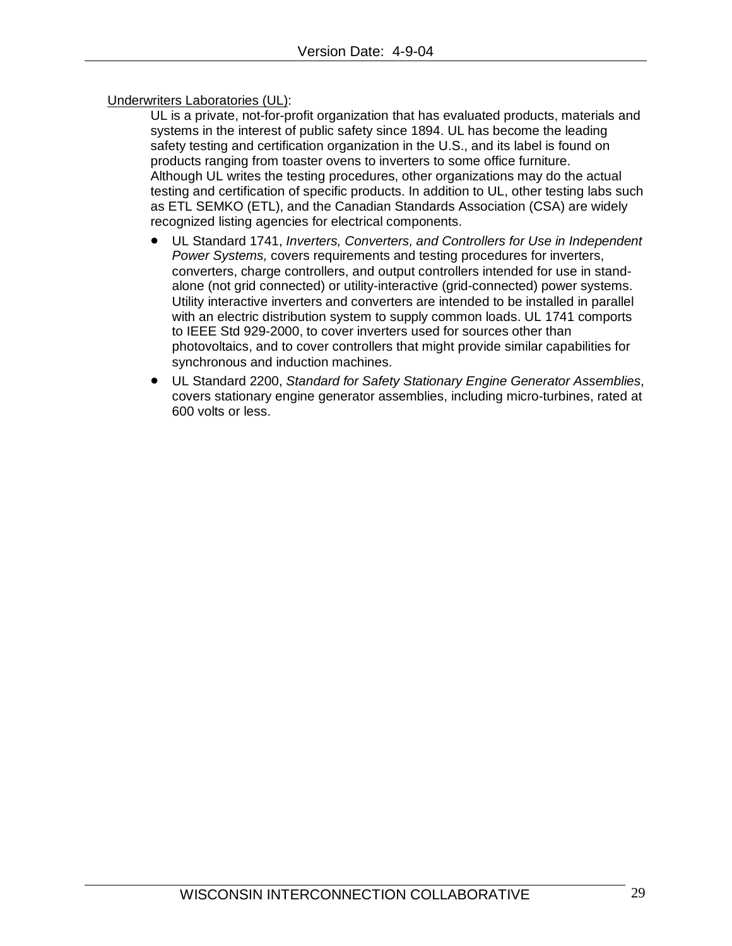## Underwriters Laboratories (UL):

UL is a private, not-for-profit organization that has evaluated products, materials and systems in the interest of public safety since 1894. UL has become the leading safety testing and certification organization in the U.S., and its label is found on products ranging from toaster ovens to inverters to some office furniture. Although UL writes the testing procedures, other organizations may do the actual testing and certification of specific products. In addition to UL, other testing labs such as ETL SEMKO (ETL), and the Canadian Standards Association (CSA) are widely recognized listing agencies for electrical components.

- UL Standard 1741, *Inverters, Converters, and Controllers for Use in Independent Power Systems,* covers requirements and testing procedures for inverters, converters, charge controllers, and output controllers intended for use in standalone (not grid connected) or utility-interactive (grid-connected) power systems. Utility interactive inverters and converters are intended to be installed in parallel with an electric distribution system to supply common loads. UL 1741 comports to IEEE Std 929-2000, to cover inverters used for sources other than photovoltaics, and to cover controllers that might provide similar capabilities for synchronous and induction machines.
- UL Standard 2200, *Standard for Safety Stationary Engine Generator Assemblies*, covers stationary engine generator assemblies, including micro-turbines, rated at 600 volts or less.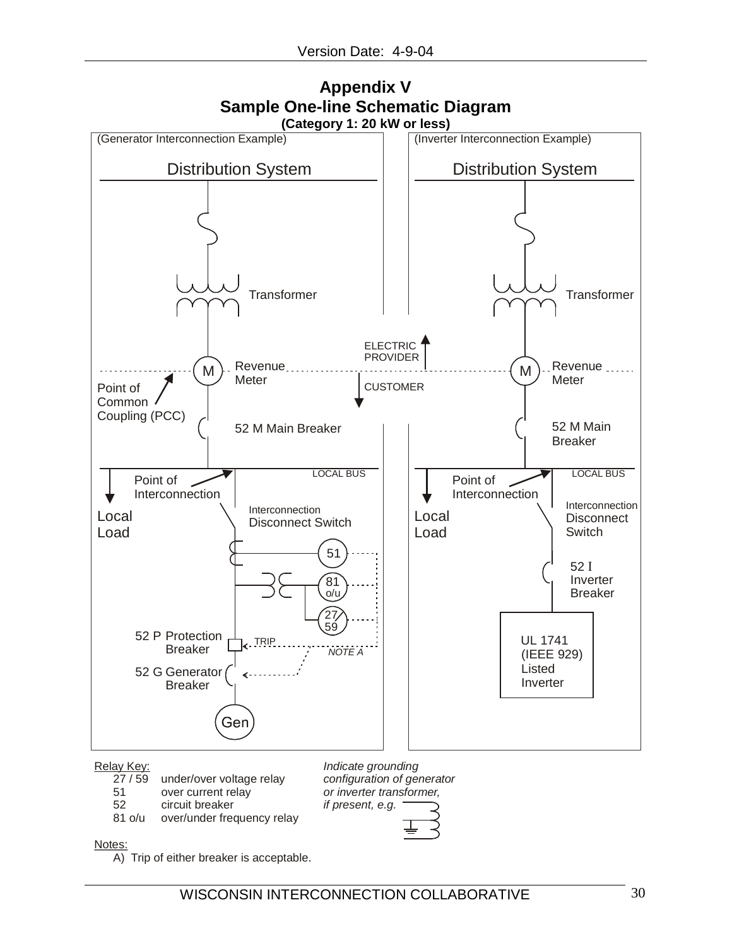

# **Appendix V Sample One-line Schematic Diagram**

Relay Key:<br>27 / 59

- under/over voltage relay
- 51 over current relay
- 52 circuit breaker
- 81 o/u over/under frequency relay

*Indicate grounding configuration of generator or inverter transformer, if present, e.g.*

Notes:

A) Trip of either breaker is acceptable.